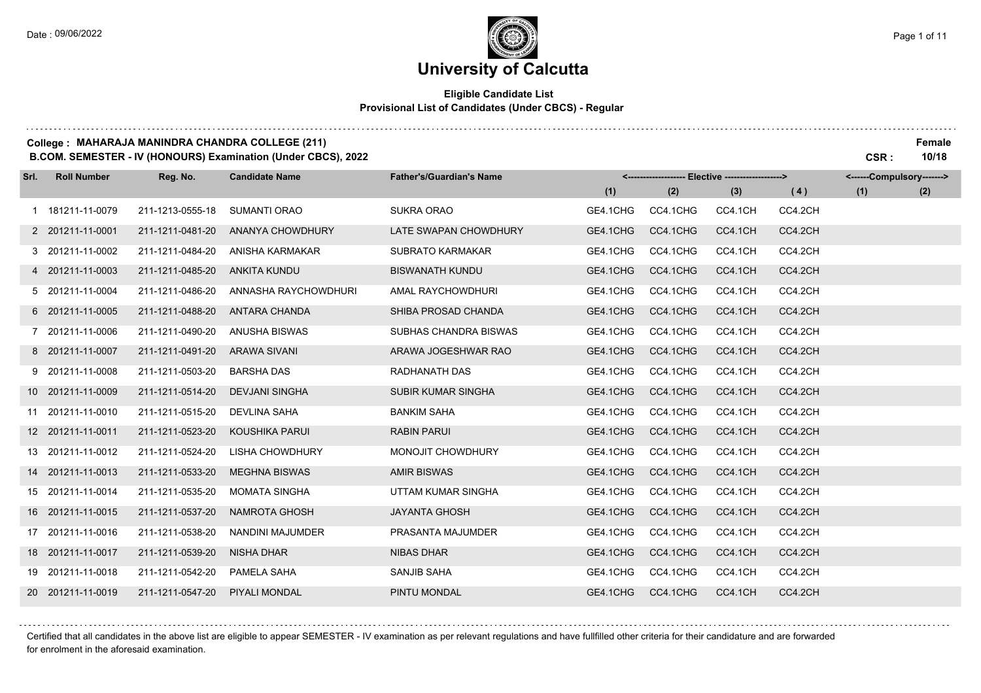### **University of Calcutta**

#### **Eligible Candidate List Provisional List of Candidates (Under CBCS) - Regular**

#### **College : MAHARAJA MANINDRA CHANDRA COLLEGE (211) Female**

**B.COM. SEMESTER - IV (HONOURS) Examination (Under CBCS), 2022 CSR : 10/18**

| Srl. | <b>Roll Number</b> | Reg. No.         | <b>Candidate Name</b> | <b>Father's/Guardian's Name</b> | <-------------------- Elective -------------------> |          |         |         | <------Compulsory-------> |     |
|------|--------------------|------------------|-----------------------|---------------------------------|-----------------------------------------------------|----------|---------|---------|---------------------------|-----|
|      |                    |                  |                       |                                 | (1)                                                 | (2)      | (3)     | (4)     | (1)                       | (2) |
|      | 1 181211-11-0079   | 211-1213-0555-18 | <b>SUMANTI ORAO</b>   | <b>SUKRA ORAO</b>               | GE4.1CHG                                            | CC4.1CHG | CC4.1CH | CC4.2CH |                           |     |
|      | 2 201211-11-0001   | 211-1211-0481-20 | ANANYA CHOWDHURY      | LATE SWAPAN CHOWDHURY           | GE4.1CHG                                            | CC4.1CHG | CC4.1CH | CC4.2CH |                           |     |
|      | 3 201211-11-0002   | 211-1211-0484-20 | ANISHA KARMAKAR       | <b>SUBRATO KARMAKAR</b>         | GE4.1CHG                                            | CC4.1CHG | CC4.1CH | CC4.2CH |                           |     |
|      | 4 201211-11-0003   | 211-1211-0485-20 | <b>ANKITA KUNDU</b>   | <b>BISWANATH KUNDU</b>          | GE4.1CHG                                            | CC4.1CHG | CC4.1CH | CC4.2CH |                           |     |
|      | 5 201211-11-0004   | 211-1211-0486-20 | ANNASHA RAYCHOWDHURI  | AMAL RAYCHOWDHURI               | GE4.1CHG                                            | CC4.1CHG | CC4.1CH | CC4.2CH |                           |     |
|      | 6 201211-11-0005   | 211-1211-0488-20 | <b>ANTARA CHANDA</b>  | SHIBA PROSAD CHANDA             | GE4.1CHG                                            | CC4.1CHG | CC4.1CH | CC4.2CH |                           |     |
|      | 7 201211-11-0006   | 211-1211-0490-20 | <b>ANUSHA BISWAS</b>  | SUBHAS CHANDRA BISWAS           | GE4.1CHG                                            | CC4.1CHG | CC4.1CH | CC4.2CH |                           |     |
|      | 8 201211-11-0007   | 211-1211-0491-20 | <b>ARAWA SIVANI</b>   | ARAWA JOGESHWAR RAO             | GE4.1CHG                                            | CC4.1CHG | CC4.1CH | CC4.2CH |                           |     |
|      | 9 201211-11-0008   | 211-1211-0503-20 | <b>BARSHA DAS</b>     | RADHANATH DAS                   | GE4.1CHG                                            | CC4.1CHG | CC4.1CH | CC4.2CH |                           |     |
|      | 10 201211-11-0009  | 211-1211-0514-20 | <b>DEVJANI SINGHA</b> | <b>SUBIR KUMAR SINGHA</b>       | GE4.1CHG                                            | CC4.1CHG | CC4.1CH | CC4.2CH |                           |     |
|      | 11 201211-11-0010  | 211-1211-0515-20 | <b>DEVLINA SAHA</b>   | <b>BANKIM SAHA</b>              | GE4.1CHG                                            | CC4.1CHG | CC4.1CH | CC4.2CH |                           |     |
|      | 12 201211-11-0011  | 211-1211-0523-20 | KOUSHIKA PARUI        | <b>RABIN PARUI</b>              | GE4.1CHG                                            | CC4.1CHG | CC4.1CH | CC4.2CH |                           |     |
|      | 13 201211-11-0012  | 211-1211-0524-20 | LISHA CHOWDHURY       | MONOJIT CHOWDHURY               | GE4.1CHG                                            | CC4.1CHG | CC4.1CH | CC4.2CH |                           |     |
|      | 14 201211-11-0013  | 211-1211-0533-20 | <b>MEGHNA BISWAS</b>  | <b>AMIR BISWAS</b>              | GE4.1CHG                                            | CC4.1CHG | CC4.1CH | CC4.2CH |                           |     |
|      | 15 201211-11-0014  | 211-1211-0535-20 | <b>MOMATA SINGHA</b>  | UTTAM KUMAR SINGHA              | GE4.1CHG                                            | CC4.1CHG | CC4.1CH | CC4.2CH |                           |     |
|      | 16 201211-11-0015  | 211-1211-0537-20 | NAMROTA GHOSH         | <b>JAYANTA GHOSH</b>            | GE4.1CHG                                            | CC4.1CHG | CC4.1CH | CC4.2CH |                           |     |
|      | 17 201211-11-0016  | 211-1211-0538-20 | NANDINI MAJUMDER      | PRASANTA MAJUMDER               | GE4.1CHG                                            | CC4.1CHG | CC4.1CH | CC4.2CH |                           |     |
|      | 18 201211-11-0017  | 211-1211-0539-20 | <b>NISHA DHAR</b>     | <b>NIBAS DHAR</b>               | GE4.1CHG                                            | CC4.1CHG | CC4.1CH | CC4.2CH |                           |     |
|      | 19 201211-11-0018  | 211-1211-0542-20 | PAMELA SAHA           | SANJIB SAHA                     | GE4.1CHG                                            | CC4.1CHG | CC4.1CH | CC4.2CH |                           |     |
|      | 20 201211-11-0019  | 211-1211-0547-20 | PIYALI MONDAL         | PINTU MONDAL                    | GE4.1CHG                                            | CC4.1CHG | CC4.1CH | CC4.2CH |                           |     |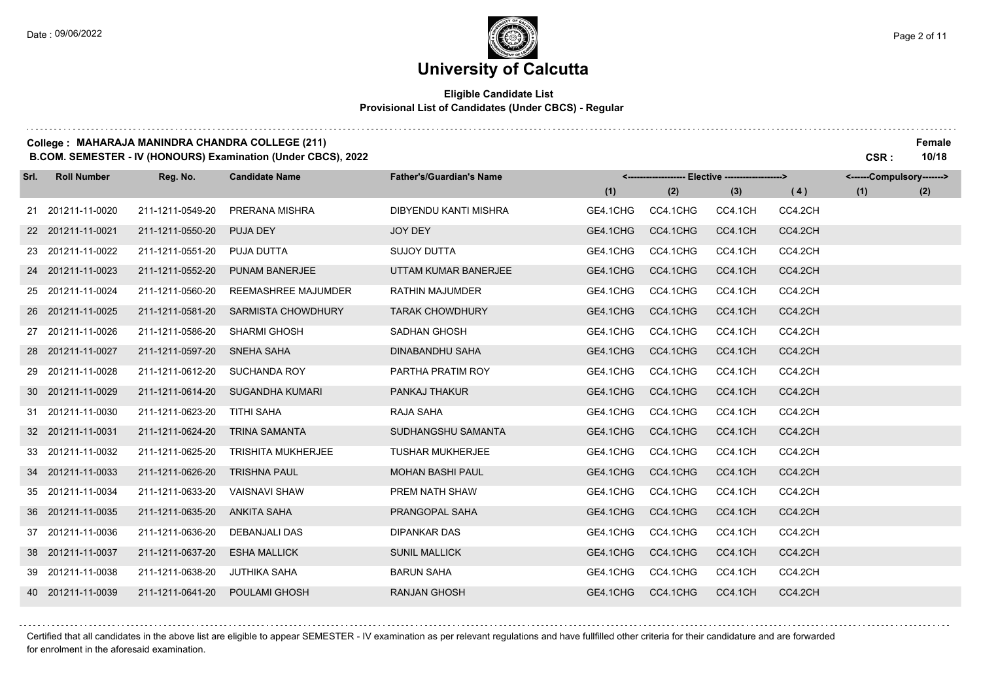## **University of Calcutta**

### **Eligible Candidate List Provisional List of Candidates (Under CBCS) - Regular**

#### **College : MAHARAJA MANINDRA CHANDRA COLLEGE (211) Female**

**B.COM. SEMESTER - IV (HONOURS) Examination (Under CBCS), 2022 CSR : 10/18**

| Srl. | <b>Roll Number</b> | Reg. No.         | <b>Candidate Name</b>     | <b>Father's/Guardian's Name</b> |          | <-------------------- Elective -------------------> |         |         | <------Compulsory-------> |     |
|------|--------------------|------------------|---------------------------|---------------------------------|----------|-----------------------------------------------------|---------|---------|---------------------------|-----|
|      |                    |                  |                           |                                 | (1)      | (2)                                                 | (3)     | (4)     | (1)                       | (2) |
|      | 21 201211-11-0020  | 211-1211-0549-20 | PRERANA MISHRA            | <b>DIBYENDU KANTI MISHRA</b>    | GE4.1CHG | CC4.1CHG                                            | CC4.1CH | CC4.2CH |                           |     |
|      | 22 201211-11-0021  | 211-1211-0550-20 | PUJA DEY                  | JOY DEY                         | GE4.1CHG | CC4.1CHG                                            | CC4.1CH | CC4.2CH |                           |     |
|      | 23 201211-11-0022  | 211-1211-0551-20 | PUJA DUTTA                | SUJOY DUTTA                     | GE4.1CHG | CC4.1CHG                                            | CC4.1CH | CC4.2CH |                           |     |
|      | 24 201211-11-0023  | 211-1211-0552-20 | <b>PUNAM BANERJEE</b>     | UTTAM KUMAR BANERJEE            | GE4.1CHG | CC4.1CHG                                            | CC4.1CH | CC4.2CH |                           |     |
|      | 25 201211-11-0024  | 211-1211-0560-20 | REEMASHREE MAJUMDER       | <b>RATHIN MAJUMDER</b>          | GE4.1CHG | CC4.1CHG                                            | CC4.1CH | CC4.2CH |                           |     |
|      | 26 201211-11-0025  | 211-1211-0581-20 | <b>SARMISTA CHOWDHURY</b> | <b>TARAK CHOWDHURY</b>          | GE4.1CHG | CC4.1CHG                                            | CC4.1CH | CC4.2CH |                           |     |
|      | 27 201211-11-0026  | 211-1211-0586-20 | <b>SHARMI GHOSH</b>       | SADHAN GHOSH                    | GE4.1CHG | CC4.1CHG                                            | CC4.1CH | CC4.2CH |                           |     |
|      | 28 201211-11-0027  | 211-1211-0597-20 | SNEHA SAHA                | DINABANDHU SAHA                 | GE4.1CHG | CC4.1CHG                                            | CC4.1CH | CC4.2CH |                           |     |
|      | 29 201211-11-0028  | 211-1211-0612-20 | <b>SUCHANDA ROY</b>       | PARTHA PRATIM ROY               | GE4.1CHG | CC4.1CHG                                            | CC4.1CH | CC4.2CH |                           |     |
|      | 30 201211-11-0029  | 211-1211-0614-20 | <b>SUGANDHA KUMARI</b>    | PANKAJ THAKUR                   | GE4.1CHG | CC4.1CHG                                            | CC4.1CH | CC4.2CH |                           |     |
|      | 31 201211-11-0030  | 211-1211-0623-20 | TITHI SAHA                | RAJA SAHA                       | GE4.1CHG | CC4.1CHG                                            | CC4.1CH | CC4.2CH |                           |     |
|      | 32 201211-11-0031  | 211-1211-0624-20 | <b>TRINA SAMANTA</b>      | SUDHANGSHU SAMANTA              | GE4.1CHG | CC4.1CHG                                            | CC4.1CH | CC4.2CH |                           |     |
|      | 33 201211-11-0032  | 211-1211-0625-20 | <b>TRISHITA MUKHERJEE</b> | <b>TUSHAR MUKHERJEE</b>         | GE4.1CHG | CC4.1CHG                                            | CC4.1CH | CC4.2CH |                           |     |
|      | 34 201211-11-0033  | 211-1211-0626-20 | <b>TRISHNA PAUL</b>       | <b>MOHAN BASHI PAUL</b>         | GE4.1CHG | CC4.1CHG                                            | CC4.1CH | CC4.2CH |                           |     |
|      | 35 201211-11-0034  | 211-1211-0633-20 | <b>VAISNAVI SHAW</b>      | PREM NATH SHAW                  | GE4.1CHG | CC4.1CHG                                            | CC4.1CH | CC4.2CH |                           |     |
|      | 36 201211-11-0035  | 211-1211-0635-20 | <b>ANKITA SAHA</b>        | PRANGOPAL SAHA                  | GE4.1CHG | CC4.1CHG                                            | CC4.1CH | CC4.2CH |                           |     |
|      | 37 201211-11-0036  | 211-1211-0636-20 | DEBANJALI DAS             | <b>DIPANKAR DAS</b>             | GE4.1CHG | CC4.1CHG                                            | CC4.1CH | CC4.2CH |                           |     |
|      | 38 201211-11-0037  | 211-1211-0637-20 | <b>ESHA MALLICK</b>       | <b>SUNIL MALLICK</b>            | GE4.1CHG | CC4.1CHG                                            | CC4.1CH | CC4.2CH |                           |     |
|      | 39 201211-11-0038  | 211-1211-0638-20 | <b>JUTHIKA SAHA</b>       | <b>BARUN SAHA</b>               | GE4.1CHG | CC4.1CHG                                            | CC4.1CH | CC4.2CH |                           |     |
|      | 40 201211-11-0039  | 211-1211-0641-20 | <b>POULAMI GHOSH</b>      | <b>RANJAN GHOSH</b>             | GE4.1CHG | CC4.1CHG                                            | CC4.1CH | CC4.2CH |                           |     |

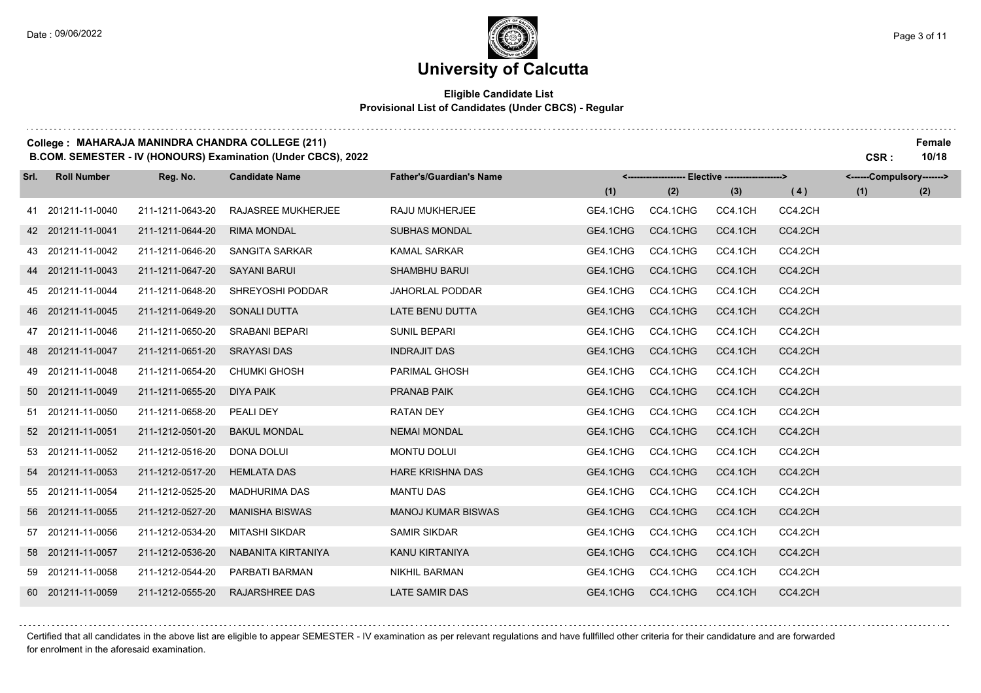## **University of Calcutta**

#### **Eligible Candidate List Provisional List of Candidates (Under CBCS) - Regular**

#### **College : MAHARAJA MANINDRA CHANDRA COLLEGE (211) Female**

**B.COM. SEMESTER - IV (HONOURS) Examination (Under CBCS), 2022 CSR : 10/18**

| Srl. | <b>Roll Number</b> | Reg. No.         | <b>Candidate Name</b>     | <b>Father's/Guardian's Name</b> |          | <-------------------- Elective -------------------> |         |         | <------Compulsory-------> |     |
|------|--------------------|------------------|---------------------------|---------------------------------|----------|-----------------------------------------------------|---------|---------|---------------------------|-----|
|      |                    |                  |                           |                                 | (1)      | (2)                                                 | (3)     | (4)     | (1)                       | (2) |
|      | 41 201211-11-0040  | 211-1211-0643-20 | <b>RAJASREE MUKHERJEE</b> | RAJU MUKHERJEE                  | GE4.1CHG | CC4.1CHG                                            | CC4.1CH | CC4.2CH |                           |     |
|      | 42 201211-11-0041  | 211-1211-0644-20 | <b>RIMA MONDAL</b>        | <b>SUBHAS MONDAL</b>            | GE4.1CHG | CC4.1CHG                                            | CC4.1CH | CC4.2CH |                           |     |
|      | 43 201211-11-0042  | 211-1211-0646-20 | SANGITA SARKAR            | <b>KAMAL SARKAR</b>             | GE4.1CHG | CC4.1CHG                                            | CC4.1CH | CC4.2CH |                           |     |
|      | 44 201211-11-0043  | 211-1211-0647-20 | <b>SAYANI BARUI</b>       | <b>SHAMBHU BARUI</b>            | GE4.1CHG | CC4.1CHG                                            | CC4.1CH | CC4.2CH |                           |     |
|      | 45 201211-11-0044  | 211-1211-0648-20 | SHREYOSHI PODDAR          | <b>JAHORLAL PODDAR</b>          | GE4.1CHG | CC4.1CHG                                            | CC4.1CH | CC4.2CH |                           |     |
|      | 46 201211-11-0045  | 211-1211-0649-20 | <b>SONALI DUTTA</b>       | LATE BENU DUTTA                 | GE4.1CHG | CC4.1CHG                                            | CC4.1CH | CC4.2CH |                           |     |
|      | 47 201211-11-0046  | 211-1211-0650-20 | <b>SRABANI BEPARI</b>     | <b>SUNIL BEPARI</b>             | GE4.1CHG | CC4.1CHG                                            | CC4.1CH | CC4.2CH |                           |     |
|      | 48 201211-11-0047  | 211-1211-0651-20 | <b>SRAYASI DAS</b>        | <b>INDRAJIT DAS</b>             | GE4.1CHG | CC4.1CHG                                            | CC4.1CH | CC4.2CH |                           |     |
|      | 49 201211-11-0048  | 211-1211-0654-20 | <b>CHUMKI GHOSH</b>       | PARIMAL GHOSH                   | GE4.1CHG | CC4.1CHG                                            | CC4.1CH | CC4.2CH |                           |     |
|      | 50 201211-11-0049  | 211-1211-0655-20 | <b>DIYA PAIK</b>          | <b>PRANAB PAIK</b>              | GE4.1CHG | CC4.1CHG                                            | CC4.1CH | CC4.2CH |                           |     |
|      | 51 201211-11-0050  | 211-1211-0658-20 | PEALI DEY                 | <b>RATAN DEY</b>                | GE4.1CHG | CC4.1CHG                                            | CC4.1CH | CC4.2CH |                           |     |
|      | 52 201211-11-0051  | 211-1212-0501-20 | <b>BAKUL MONDAL</b>       | <b>NEMAI MONDAL</b>             | GE4.1CHG | CC4.1CHG                                            | CC4.1CH | CC4.2CH |                           |     |
|      | 53 201211-11-0052  | 211-1212-0516-20 | <b>DONA DOLUI</b>         | <b>MONTU DOLUI</b>              | GE4.1CHG | CC4.1CHG                                            | CC4.1CH | CC4.2CH |                           |     |
|      | 54 201211-11-0053  | 211-1212-0517-20 | <b>HEMLATA DAS</b>        | <b>HARE KRISHNA DAS</b>         | GE4.1CHG | CC4.1CHG                                            | CC4.1CH | CC4.2CH |                           |     |
|      | 55 201211-11-0054  | 211-1212-0525-20 | <b>MADHURIMA DAS</b>      | <b>MANTU DAS</b>                | GE4.1CHG | CC4.1CHG                                            | CC4.1CH | CC4.2CH |                           |     |
|      | 56 201211-11-0055  | 211-1212-0527-20 | <b>MANISHA BISWAS</b>     | <b>MANOJ KUMAR BISWAS</b>       | GE4.1CHG | CC4.1CHG                                            | CC4.1CH | CC4.2CH |                           |     |
|      | 57 201211-11-0056  | 211-1212-0534-20 | MITASHI SIKDAR            | <b>SAMIR SIKDAR</b>             | GE4.1CHG | CC4.1CHG                                            | CC4.1CH | CC4.2CH |                           |     |
|      | 58 201211-11-0057  | 211-1212-0536-20 | NABANITA KIRTANIYA        | KANU KIRTANIYA                  | GE4.1CHG | CC4.1CHG                                            | CC4.1CH | CC4.2CH |                           |     |
|      | 59 201211-11-0058  | 211-1212-0544-20 | PARBATI BARMAN            | <b>NIKHIL BARMAN</b>            | GE4.1CHG | CC4.1CHG                                            | CC4.1CH | CC4.2CH |                           |     |
|      | 60 201211-11-0059  | 211-1212-0555-20 | <b>RAJARSHREE DAS</b>     | <b>LATE SAMIR DAS</b>           | GE4.1CHG | CC4.1CHG                                            | CC4.1CH | CC4.2CH |                           |     |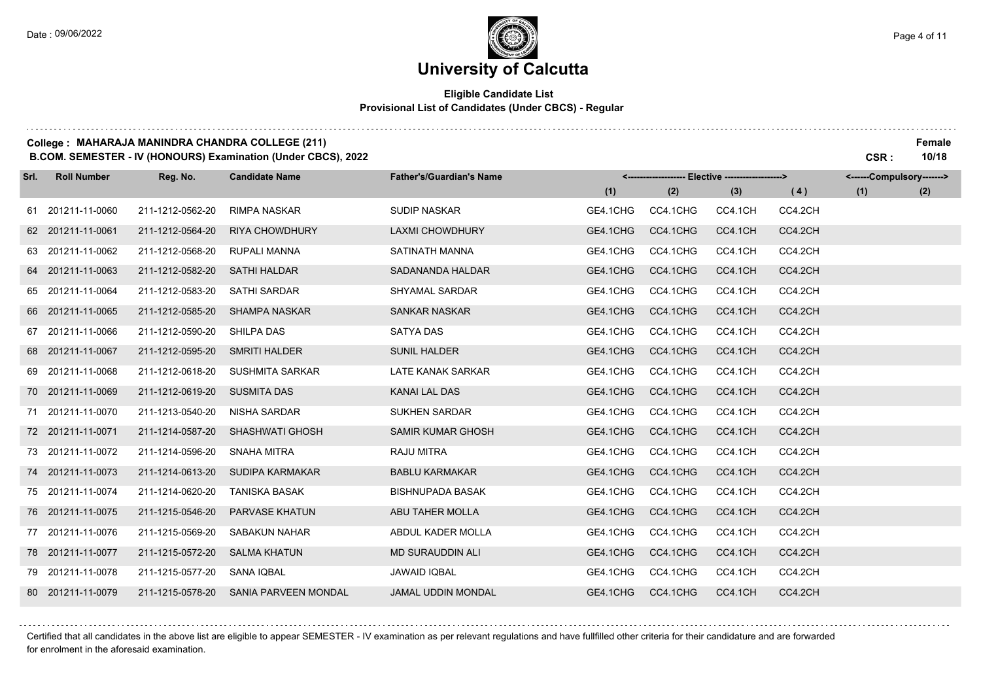### **Eligible Candidate List Provisional List of Candidates (Under CBCS) - Regular**

#### **College : MAHARAJA MANINDRA CHANDRA COLLEGE (211) Female**

**B.COM. SEMESTER - IV (HONOURS) Examination (Under CBCS), 2022 CSR : 10/18**

| Srl. | <b>Roll Number</b> | Reg. No.         | <b>Candidate Name</b>       | <b>Father's/Guardian's Name</b> |          | <------------------- Elective ------------------> |         |         | <------Compulsory-------> |     |
|------|--------------------|------------------|-----------------------------|---------------------------------|----------|---------------------------------------------------|---------|---------|---------------------------|-----|
|      |                    |                  |                             |                                 | (1)      | (2)                                               | (3)     | (4)     | (1)                       | (2) |
|      | 61 201211-11-0060  | 211-1212-0562-20 | <b>RIMPA NASKAR</b>         | <b>SUDIP NASKAR</b>             | GE4.1CHG | CC4.1CHG                                          | CC4.1CH | CC4.2CH |                           |     |
|      | 62 201211-11-0061  | 211-1212-0564-20 | <b>RIYA CHOWDHURY</b>       | <b>LAXMI CHOWDHURY</b>          | GE4.1CHG | CC4.1CHG                                          | CC4.1CH | CC4.2CH |                           |     |
|      | 63 201211-11-0062  | 211-1212-0568-20 | RUPALI MANNA                | SATINATH MANNA                  | GE4.1CHG | CC4.1CHG                                          | CC4.1CH | CC4.2CH |                           |     |
|      | 64 201211-11-0063  | 211-1212-0582-20 | <b>SATHI HALDAR</b>         | SADANANDA HALDAR                | GE4.1CHG | CC4.1CHG                                          | CC4.1CH | CC4.2CH |                           |     |
|      | 65 201211-11-0064  | 211-1212-0583-20 | <b>SATHI SARDAR</b>         | <b>SHYAMAL SARDAR</b>           | GE4.1CHG | CC4.1CHG                                          | CC4.1CH | CC4.2CH |                           |     |
|      | 66 201211-11-0065  | 211-1212-0585-20 | <b>SHAMPA NASKAR</b>        | <b>SANKAR NASKAR</b>            | GE4.1CHG | CC4.1CHG                                          | CC4.1CH | CC4.2CH |                           |     |
|      | 67 201211-11-0066  | 211-1212-0590-20 | <b>SHILPA DAS</b>           | <b>SATYA DAS</b>                | GE4.1CHG | CC4.1CHG                                          | CC4.1CH | CC4.2CH |                           |     |
|      | 68 201211-11-0067  | 211-1212-0595-20 | <b>SMRITI HALDER</b>        | <b>SUNIL HALDER</b>             | GE4.1CHG | CC4.1CHG                                          | CC4.1CH | CC4.2CH |                           |     |
|      | 69 201211-11-0068  | 211-1212-0618-20 | <b>SUSHMITA SARKAR</b>      | LATE KANAK SARKAR               | GE4.1CHG | CC4.1CHG                                          | CC4.1CH | CC4.2CH |                           |     |
|      | 70 201211-11-0069  | 211-1212-0619-20 | <b>SUSMITA DAS</b>          | KANAI LAL DAS                   | GE4.1CHG | CC4.1CHG                                          | CC4.1CH | CC4.2CH |                           |     |
|      | 71 201211-11-0070  | 211-1213-0540-20 | <b>NISHA SARDAR</b>         | <b>SUKHEN SARDAR</b>            | GE4.1CHG | CC4.1CHG                                          | CC4.1CH | CC4.2CH |                           |     |
|      | 72 201211-11-0071  | 211-1214-0587-20 | <b>SHASHWATI GHOSH</b>      | <b>SAMIR KUMAR GHOSH</b>        | GE4.1CHG | CC4.1CHG                                          | CC4.1CH | CC4.2CH |                           |     |
|      | 73 201211-11-0072  | 211-1214-0596-20 | SNAHA MITRA                 | RAJU MITRA                      | GE4.1CHG | CC4.1CHG                                          | CC4.1CH | CC4.2CH |                           |     |
|      | 74 201211-11-0073  | 211-1214-0613-20 | <b>SUDIPA KARMAKAR</b>      | <b>BABLU KARMAKAR</b>           | GE4.1CHG | CC4.1CHG                                          | CC4.1CH | CC4.2CH |                           |     |
|      | 75 201211-11-0074  | 211-1214-0620-20 | <b>TANISKA BASAK</b>        | <b>BISHNUPADA BASAK</b>         | GE4.1CHG | CC4.1CHG                                          | CC4.1CH | CC4.2CH |                           |     |
|      | 76 201211-11-0075  | 211-1215-0546-20 | <b>PARVASE KHATUN</b>       | ABU TAHER MOLLA                 | GE4.1CHG | CC4.1CHG                                          | CC4.1CH | CC4.2CH |                           |     |
|      | 77 201211-11-0076  | 211-1215-0569-20 | <b>SABAKUN NAHAR</b>        | ABDUL KADER MOLLA               | GE4.1CHG | CC4.1CHG                                          | CC4.1CH | CC4.2CH |                           |     |
|      | 78 201211-11-0077  | 211-1215-0572-20 | <b>SALMA KHATUN</b>         | <b>MD SURAUDDIN ALI</b>         | GE4.1CHG | CC4.1CHG                                          | CC4.1CH | CC4.2CH |                           |     |
|      | 79 201211-11-0078  | 211-1215-0577-20 | <b>SANA IQBAL</b>           | <b>JAWAID IQBAL</b>             | GE4.1CHG | CC4.1CHG                                          | CC4.1CH | CC4.2CH |                           |     |
|      | 80 201211-11-0079  | 211-1215-0578-20 | <b>SANIA PARVEEN MONDAL</b> | <b>JAMAL UDDIN MONDAL</b>       | GE4.1CHG | CC4.1CHG                                          | CC4.1CH | CC4.2CH |                           |     |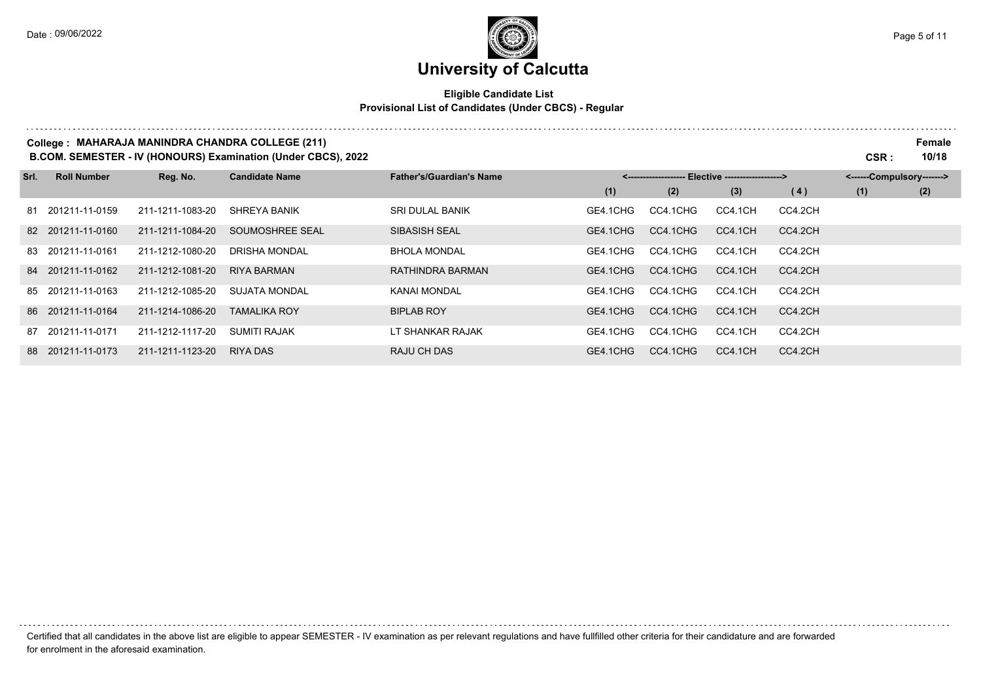. . . . . . . .

# **University of Calcutta**

### **Eligible Candidate List Provisional List of Candidates (Under CBCS) - Regular**

#### **College : MAHARAJA MANINDRA CHANDRA COLLEGE (211) Female**

**B.COM. SEMESTER - IV (HONOURS) Examination (Under CBCS), 2022 CSR : 10/18**

| Srl. | <b>Roll Number</b> | Reg. No.         | <b>Candidate Name</b> | <b>Father's/Guardian's Name</b> | <------------------- Elective ------------------> |          |         |         | <------Compulsory-------> |     |  |
|------|--------------------|------------------|-----------------------|---------------------------------|---------------------------------------------------|----------|---------|---------|---------------------------|-----|--|
|      |                    |                  |                       |                                 | (1)                                               | (2)      | (3)     | (4)     | (1)                       | (2) |  |
|      | 81 201211-11-0159  | 211-1211-1083-20 | <b>SHREYA BANIK</b>   | <b>SRI DULAL BANIK</b>          | GE4.1CHG                                          | CC4.1CHG | CC4.1CH | CC4.2CH |                           |     |  |
|      | 82 201211-11-0160  | 211-1211-1084-20 | SOUMOSHREE SEAL       | SIBASISH SEAL                   | GE4.1CHG                                          | CC4.1CHG | CC4.1CH | CC4.2CH |                           |     |  |
|      | 83 201211-11-0161  | 211-1212-1080-20 | <b>DRISHA MONDAL</b>  | <b>BHOLA MONDAL</b>             | GE4.1CHG                                          | CC4.1CHG | CC4.1CH | CC4.2CH |                           |     |  |
|      | 84 201211-11-0162  | 211-1212-1081-20 | <b>RIYA BARMAN</b>    | RATHINDRA BARMAN                | GE4.1CHG                                          | CC4.1CHG | CC4.1CH | CC4.2CH |                           |     |  |
|      | 85 201211-11-0163  | 211-1212-1085-20 | <b>SUJATA MONDAL</b>  | KANAI MONDAL                    | GE4.1CHG                                          | CC4.1CHG | CC4.1CH | CC4.2CH |                           |     |  |
|      | 86 201211-11-0164  | 211-1214-1086-20 | <b>TAMALIKA ROY</b>   | <b>BIPLAB ROY</b>               | GE4.1CHG                                          | CC4.1CHG | CC4.1CH | CC4.2CH |                           |     |  |
|      | 87 201211-11-0171  | 211-1212-1117-20 | SUMITI RAJAK          | LT SHANKAR RAJAK                | GE4.1CHG                                          | CC4.1CHG | CC4.1CH | CC4.2CH |                           |     |  |
|      | 88 201211-11-0173  | 211-1211-1123-20 | RIYA DAS              | RAJU CH DAS                     | GE4.1CHG                                          | CC4.1CHG | CC4.1CH | CC4.2CH |                           |     |  |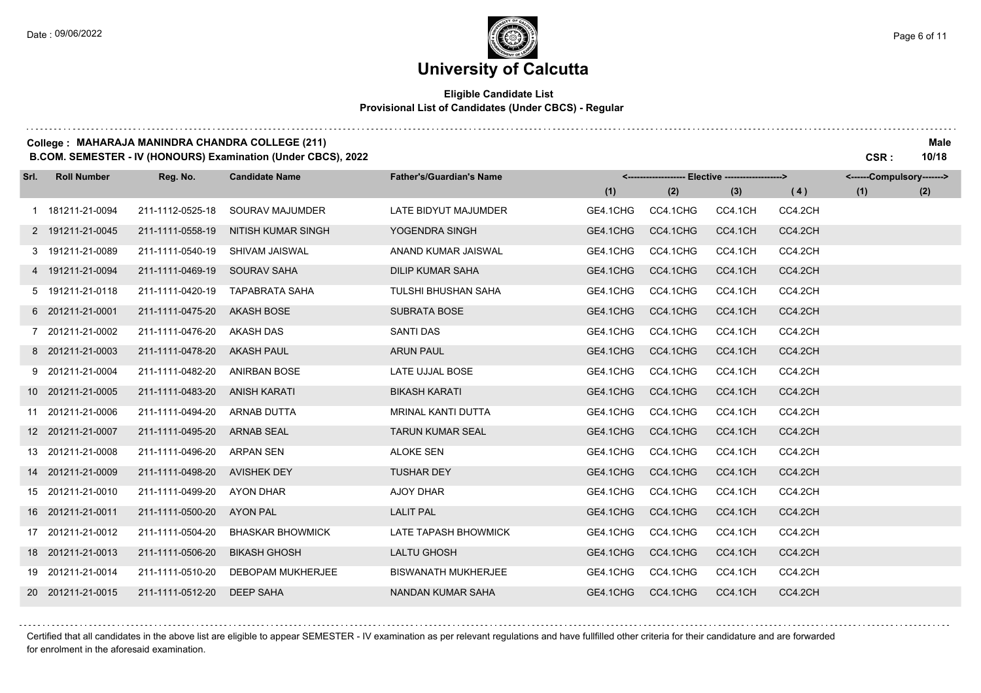. . . . . . . . . .

### **University of Calcutta**

### **Eligible Candidate List Provisional List of Candidates (Under CBCS) - Regular**

#### **College : MAHARAJA MANINDRA CHANDRA COLLEGE (211) Male**

**B.COM. SEMESTER - IV (HONOURS) Examination (Under CBCS), 2022 CSR : 10/18**

| Srl. | <b>Roll Number</b> | Reg. No.         | <b>Candidate Name</b>    | <b>Father's/Guardian's Name</b> |          | <-------------------- Elective -------------------> |         |         | <------Compulsory-------> |     |
|------|--------------------|------------------|--------------------------|---------------------------------|----------|-----------------------------------------------------|---------|---------|---------------------------|-----|
|      |                    |                  |                          |                                 | (1)      | (2)                                                 | (3)     | (4)     | (1)                       | (2) |
|      | 1 181211-21-0094   | 211-1112-0525-18 | SOURAV MAJUMDER          | LATE BIDYUT MAJUMDER            | GE4.1CHG | CC4.1CHG                                            | CC4.1CH | CC4.2CH |                           |     |
|      | 2 191211-21-0045   | 211-1111-0558-19 | NITISH KUMAR SINGH       | YOGENDRA SINGH                  | GE4.1CHG | CC4.1CHG                                            | CC4.1CH | CC4.2CH |                           |     |
|      | 3 191211-21-0089   | 211-1111-0540-19 | SHIVAM JAISWAL           | ANAND KUMAR JAISWAL             | GE4.1CHG | CC4.1CHG                                            | CC4.1CH | CC4.2CH |                           |     |
|      | 4 191211-21-0094   | 211-1111-0469-19 | <b>SOURAV SAHA</b>       | DILIP KUMAR SAHA                | GE4.1CHG | CC4.1CHG                                            | CC4.1CH | CC4.2CH |                           |     |
|      | 5 191211-21-0118   | 211-1111-0420-19 | <b>TAPABRATA SAHA</b>    | TULSHI BHUSHAN SAHA             | GE4.1CHG | CC4.1CHG                                            | CC4.1CH | CC4.2CH |                           |     |
|      | 6 201211-21-0001   | 211-1111-0475-20 | <b>AKASH BOSE</b>        | <b>SUBRATA BOSE</b>             | GE4.1CHG | CC4.1CHG                                            | CC4.1CH | CC4.2CH |                           |     |
|      | 7 201211-21-0002   | 211-1111-0476-20 | AKASH DAS                | <b>SANTI DAS</b>                | GE4.1CHG | CC4.1CHG                                            | CC4.1CH | CC4.2CH |                           |     |
|      | 8 201211-21-0003   | 211-1111-0478-20 | <b>AKASH PAUL</b>        | <b>ARUN PAUL</b>                | GE4.1CHG | CC4.1CHG                                            | CC4.1CH | CC4.2CH |                           |     |
|      | 9 201211-21-0004   | 211-1111-0482-20 | <b>ANIRBAN BOSE</b>      | LATE UJJAL BOSE                 | GE4.1CHG | CC4.1CHG                                            | CC4.1CH | CC4.2CH |                           |     |
|      | 10 201211-21-0005  | 211-1111-0483-20 | <b>ANISH KARATI</b>      | <b>BIKASH KARATI</b>            | GE4.1CHG | CC4.1CHG                                            | CC4.1CH | CC4.2CH |                           |     |
|      | 11 201211-21-0006  | 211-1111-0494-20 | <b>ARNAB DUTTA</b>       | MRINAL KANTI DUTTA              | GE4.1CHG | CC4.1CHG                                            | CC4.1CH | CC4.2CH |                           |     |
|      | 12 201211-21-0007  | 211-1111-0495-20 | <b>ARNAB SEAL</b>        | <b>TARUN KUMAR SEAL</b>         | GE4.1CHG | CC4.1CHG                                            | CC4.1CH | CC4.2CH |                           |     |
|      | 13 201211-21-0008  | 211-1111-0496-20 | <b>ARPAN SEN</b>         | <b>ALOKE SEN</b>                | GE4.1CHG | CC4.1CHG                                            | CC4.1CH | CC4.2CH |                           |     |
|      | 14 201211-21-0009  | 211-1111-0498-20 | <b>AVISHEK DEY</b>       | <b>TUSHAR DEY</b>               | GE4.1CHG | CC4.1CHG                                            | CC4.1CH | CC4.2CH |                           |     |
|      | 15 201211-21-0010  | 211-1111-0499-20 | <b>AYON DHAR</b>         | AJOY DHAR                       | GE4.1CHG | CC4.1CHG                                            | CC4.1CH | CC4.2CH |                           |     |
|      | 16 201211-21-0011  | 211-1111-0500-20 | <b>AYON PAL</b>          | <b>LALIT PAL</b>                | GE4.1CHG | CC4.1CHG                                            | CC4.1CH | CC4.2CH |                           |     |
|      | 17 201211-21-0012  | 211-1111-0504-20 | <b>BHASKAR BHOWMICK</b>  | LATE TAPASH BHOWMICK            | GE4.1CHG | CC4.1CHG                                            | CC4.1CH | CC4.2CH |                           |     |
|      | 18 201211-21-0013  | 211-1111-0506-20 | <b>BIKASH GHOSH</b>      | <b>LALTU GHOSH</b>              | GE4.1CHG | CC4.1CHG                                            | CC4.1CH | CC4.2CH |                           |     |
|      | 19 201211-21-0014  | 211-1111-0510-20 | <b>DEBOPAM MUKHERJEE</b> | <b>BISWANATH MUKHERJEE</b>      | GE4.1CHG | CC4.1CHG                                            | CC4.1CH | CC4.2CH |                           |     |
|      | 20 201211-21-0015  | 211-1111-0512-20 | <b>DEEP SAHA</b>         | NANDAN KUMAR SAHA               | GE4.1CHG | CC4.1CHG                                            | CC4.1CH | CC4.2CH |                           |     |

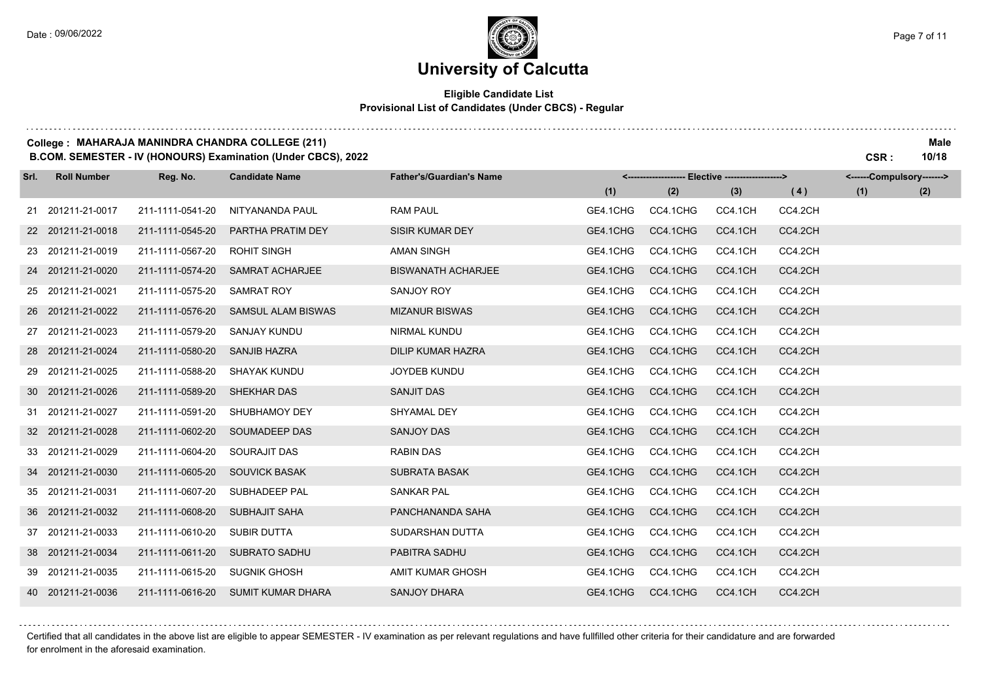## **University of Calcutta**

### **Eligible Candidate List Provisional List of Candidates (Under CBCS) - Regular**

#### **College : MAHARAJA MANINDRA CHANDRA COLLEGE (211) Male**

**B.COM. SEMESTER - IV (HONOURS) Examination (Under CBCS), 2022 CSR : 10/18**

| Srl. | <b>Roll Number</b> | Reg. No.         | <b>Candidate Name</b>     | <b>Father's/Guardian's Name</b> |          | <------------------- Elective ------------------> |         |         | <------Compulsory-------> |     |
|------|--------------------|------------------|---------------------------|---------------------------------|----------|---------------------------------------------------|---------|---------|---------------------------|-----|
|      |                    |                  |                           |                                 | (1)      | (2)                                               | (3)     | (4)     | (1)                       | (2) |
|      | 21 201211-21-0017  | 211-1111-0541-20 | NITYANANDA PAUL           | <b>RAM PAUL</b>                 | GE4.1CHG | CC4.1CHG                                          | CC4.1CH | CC4.2CH |                           |     |
|      | 22 201211-21-0018  | 211-1111-0545-20 | PARTHA PRATIM DEY         | <b>SISIR KUMAR DEY</b>          | GE4.1CHG | CC4.1CHG                                          | CC4.1CH | CC4.2CH |                           |     |
|      | 23 201211-21-0019  | 211-1111-0567-20 | <b>ROHIT SINGH</b>        | <b>AMAN SINGH</b>               | GE4.1CHG | CC4.1CHG                                          | CC4.1CH | CC4.2CH |                           |     |
|      | 24 201211-21-0020  | 211-1111-0574-20 | <b>SAMRAT ACHARJEE</b>    | <b>BISWANATH ACHARJEE</b>       | GE4.1CHG | CC4.1CHG                                          | CC4.1CH | CC4.2CH |                           |     |
|      | 25 201211-21-0021  | 211-1111-0575-20 | <b>SAMRAT ROY</b>         | SANJOY ROY                      | GE4.1CHG | CC4.1CHG                                          | CC4.1CH | CC4.2CH |                           |     |
|      | 26 201211-21-0022  | 211-1111-0576-20 | <b>SAMSUL ALAM BISWAS</b> | <b>MIZANUR BISWAS</b>           | GE4.1CHG | CC4.1CHG                                          | CC4.1CH | CC4.2CH |                           |     |
|      | 27 201211-21-0023  | 211-1111-0579-20 | <b>SANJAY KUNDU</b>       | <b>NIRMAL KUNDU</b>             | GE4.1CHG | CC4.1CHG                                          | CC4.1CH | CC4.2CH |                           |     |
|      | 28 201211-21-0024  | 211-1111-0580-20 | SANJIB HAZRA              | <b>DILIP KUMAR HAZRA</b>        | GE4.1CHG | CC4.1CHG                                          | CC4.1CH | CC4.2CH |                           |     |
|      | 29 201211-21-0025  | 211-1111-0588-20 | SHAYAK KUNDU              | <b>JOYDEB KUNDU</b>             | GE4.1CHG | CC4.1CHG                                          | CC4.1CH | CC4.2CH |                           |     |
|      | 30 201211-21-0026  | 211-1111-0589-20 | SHEKHAR DAS               | <b>SANJIT DAS</b>               | GE4.1CHG | CC4.1CHG                                          | CC4.1CH | CC4.2CH |                           |     |
|      | 31 201211-21-0027  | 211-1111-0591-20 | SHUBHAMOY DEY             | SHYAMAL DEY                     | GE4.1CHG | CC4.1CHG                                          | CC4.1CH | CC4.2CH |                           |     |
|      | 32 201211-21-0028  | 211-1111-0602-20 | SOUMADEEP DAS             | SANJOY DAS                      | GE4.1CHG | CC4.1CHG                                          | CC4.1CH | CC4.2CH |                           |     |
|      | 33 201211-21-0029  | 211-1111-0604-20 | <b>SOURAJIT DAS</b>       | <b>RABIN DAS</b>                | GE4.1CHG | CC4.1CHG                                          | CC4.1CH | CC4.2CH |                           |     |
|      | 34 201211-21-0030  | 211-1111-0605-20 | <b>SOUVICK BASAK</b>      | <b>SUBRATA BASAK</b>            | GE4.1CHG | CC4.1CHG                                          | CC4.1CH | CC4.2CH |                           |     |
|      | 35 201211-21-0031  | 211-1111-0607-20 | SUBHADEEP PAL             | <b>SANKAR PAL</b>               | GE4.1CHG | CC4.1CHG                                          | CC4.1CH | CC4.2CH |                           |     |
|      | 36 201211-21-0032  | 211-1111-0608-20 | <b>SUBHAJIT SAHA</b>      | PANCHANANDA SAHA                | GE4.1CHG | CC4.1CHG                                          | CC4.1CH | CC4.2CH |                           |     |
|      | 37 201211-21-0033  | 211-1111-0610-20 | SUBIR DUTTA               | SUDARSHAN DUTTA                 | GE4.1CHG | CC4.1CHG                                          | CC4.1CH | CC4.2CH |                           |     |
|      | 38 201211-21-0034  | 211-1111-0611-20 | <b>SUBRATO SADHU</b>      | PABITRA SADHU                   | GE4.1CHG | CC4.1CHG                                          | CC4.1CH | CC4.2CH |                           |     |
|      | 39 201211-21-0035  | 211-1111-0615-20 | <b>SUGNIK GHOSH</b>       | AMIT KUMAR GHOSH                | GE4.1CHG | CC4.1CHG                                          | CC4.1CH | CC4.2CH |                           |     |
|      | 40 201211-21-0036  | 211-1111-0616-20 | <b>SUMIT KUMAR DHARA</b>  | <b>SANJOY DHARA</b>             | GE4.1CHG | CC4.1CHG                                          | CC4.1CH | CC4.2CH |                           |     |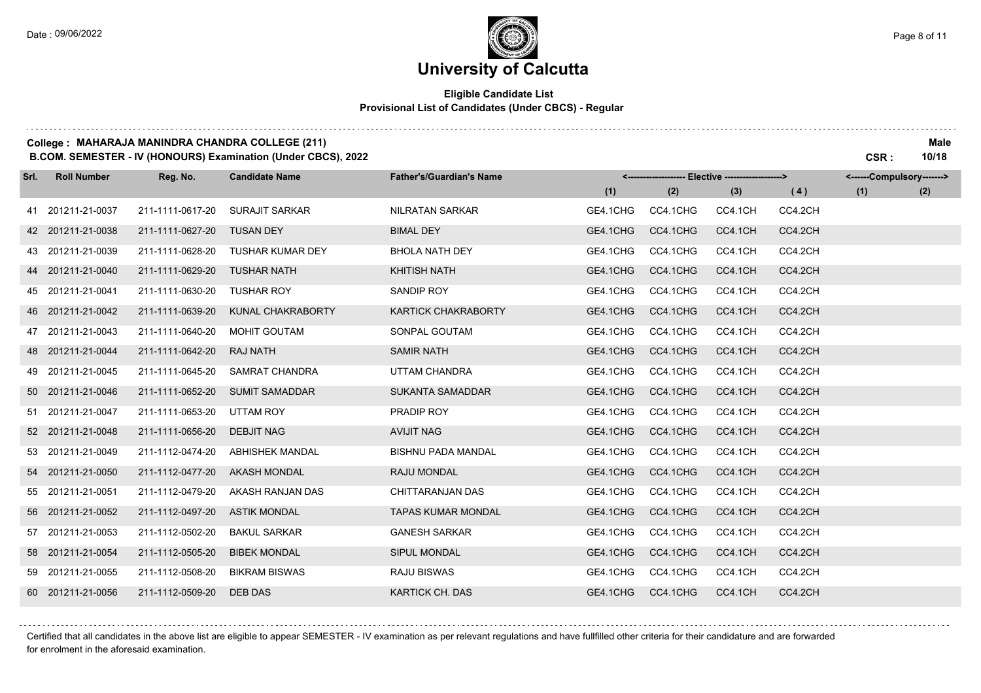## **University of Calcutta**

#### **Eligible Candidate List Provisional List of Candidates (Under CBCS) - Regular**

#### **College : MAHARAJA MANINDRA CHANDRA COLLEGE (211) Male**

**B.COM. SEMESTER - IV (HONOURS) Examination (Under CBCS), 2022 CSR : 10/18**

| Srl. | <b>Roll Number</b> | Reg. No.         | <b>Candidate Name</b>   | <b>Father's/Guardian's Name</b> |          | <------------------- Elective ------------------> |         |         | <------Compulsory-------> |     |
|------|--------------------|------------------|-------------------------|---------------------------------|----------|---------------------------------------------------|---------|---------|---------------------------|-----|
|      |                    |                  |                         |                                 | (1)      | (2)                                               | (3)     | (4)     | (1)                       | (2) |
|      | 41 201211-21-0037  | 211-1111-0617-20 | <b>SURAJIT SARKAR</b>   | NILRATAN SARKAR                 | GE4.1CHG | CC4.1CHG                                          | CC4.1CH | CC4.2CH |                           |     |
|      | 42 201211-21-0038  | 211-1111-0627-20 | <b>TUSAN DEY</b>        | <b>BIMAL DEY</b>                | GE4.1CHG | CC4.1CHG                                          | CC4.1CH | CC4.2CH |                           |     |
|      | 43 201211-21-0039  | 211-1111-0628-20 | <b>TUSHAR KUMAR DEY</b> | <b>BHOLA NATH DEY</b>           | GE4.1CHG | CC4.1CHG                                          | CC4.1CH | CC4.2CH |                           |     |
|      | 44 201211-21-0040  | 211-1111-0629-20 | <b>TUSHAR NATH</b>      | <b>KHITISH NATH</b>             | GE4.1CHG | CC4.1CHG                                          | CC4.1CH | CC4.2CH |                           |     |
|      | 45 201211-21-0041  | 211-1111-0630-20 | <b>TUSHAR ROY</b>       | SANDIP ROY                      | GE4.1CHG | CC4.1CHG                                          | CC4.1CH | CC4.2CH |                           |     |
|      | 46 201211-21-0042  | 211-1111-0639-20 | KUNAL CHAKRABORTY       | <b>KARTICK CHAKRABORTY</b>      | GE4.1CHG | CC4.1CHG                                          | CC4.1CH | CC4.2CH |                           |     |
|      | 47 201211-21-0043  | 211-1111-0640-20 | <b>MOHIT GOUTAM</b>     | SONPAL GOUTAM                   | GE4.1CHG | CC4.1CHG                                          | CC4.1CH | CC4.2CH |                           |     |
|      | 48 201211-21-0044  | 211-1111-0642-20 | RAJ NATH                | <b>SAMIR NATH</b>               | GE4.1CHG | CC4.1CHG                                          | CC4.1CH | CC4.2CH |                           |     |
|      | 49 201211-21-0045  | 211-1111-0645-20 | <b>SAMRAT CHANDRA</b>   | UTTAM CHANDRA                   | GE4.1CHG | CC4.1CHG                                          | CC4.1CH | CC4.2CH |                           |     |
|      | 50 201211-21-0046  | 211-1111-0652-20 | <b>SUMIT SAMADDAR</b>   | <b>SUKANTA SAMADDAR</b>         | GE4.1CHG | CC4.1CHG                                          | CC4.1CH | CC4.2CH |                           |     |
|      | 51 201211-21-0047  | 211-1111-0653-20 | UTTAM ROY               | PRADIP ROY                      | GE4.1CHG | CC4.1CHG                                          | CC4.1CH | CC4.2CH |                           |     |
|      | 52 201211-21-0048  | 211-1111-0656-20 | <b>DEBJIT NAG</b>       | AVIJIT NAG                      | GE4.1CHG | CC4.1CHG                                          | CC4.1CH | CC4.2CH |                           |     |
|      | 53 201211-21-0049  | 211-1112-0474-20 | <b>ABHISHEK MANDAL</b>  | <b>BISHNU PADA MANDAL</b>       | GE4.1CHG | CC4.1CHG                                          | CC4.1CH | CC4.2CH |                           |     |
|      | 54 201211-21-0050  | 211-1112-0477-20 | <b>AKASH MONDAL</b>     | RAJU MONDAL                     | GE4.1CHG | CC4.1CHG                                          | CC4.1CH | CC4.2CH |                           |     |
|      | 55 201211-21-0051  | 211-1112-0479-20 | AKASH RANJAN DAS        | CHITTARANJAN DAS                | GE4.1CHG | CC4.1CHG                                          | CC4.1CH | CC4.2CH |                           |     |
|      | 56 201211-21-0052  | 211-1112-0497-20 | <b>ASTIK MONDAL</b>     | <b>TAPAS KUMAR MONDAL</b>       | GE4.1CHG | CC4.1CHG                                          | CC4.1CH | CC4.2CH |                           |     |
|      | 57 201211-21-0053  | 211-1112-0502-20 | <b>BAKUL SARKAR</b>     | <b>GANESH SARKAR</b>            | GE4.1CHG | CC4.1CHG                                          | CC4.1CH | CC4.2CH |                           |     |
|      | 58 201211-21-0054  | 211-1112-0505-20 | <b>BIBEK MONDAL</b>     | SIPUL MONDAL                    | GE4.1CHG | CC4.1CHG                                          | CC4.1CH | CC4.2CH |                           |     |
|      | 59 201211-21-0055  | 211-1112-0508-20 | <b>BIKRAM BISWAS</b>    | <b>RAJU BISWAS</b>              | GE4.1CHG | CC4.1CHG                                          | CC4.1CH | CC4.2CH |                           |     |
|      | 60 201211-21-0056  | 211-1112-0509-20 | DEB DAS                 | KARTICK CH. DAS                 | GE4.1CHG | CC4.1CHG                                          | CC4.1CH | CC4.2CH |                           |     |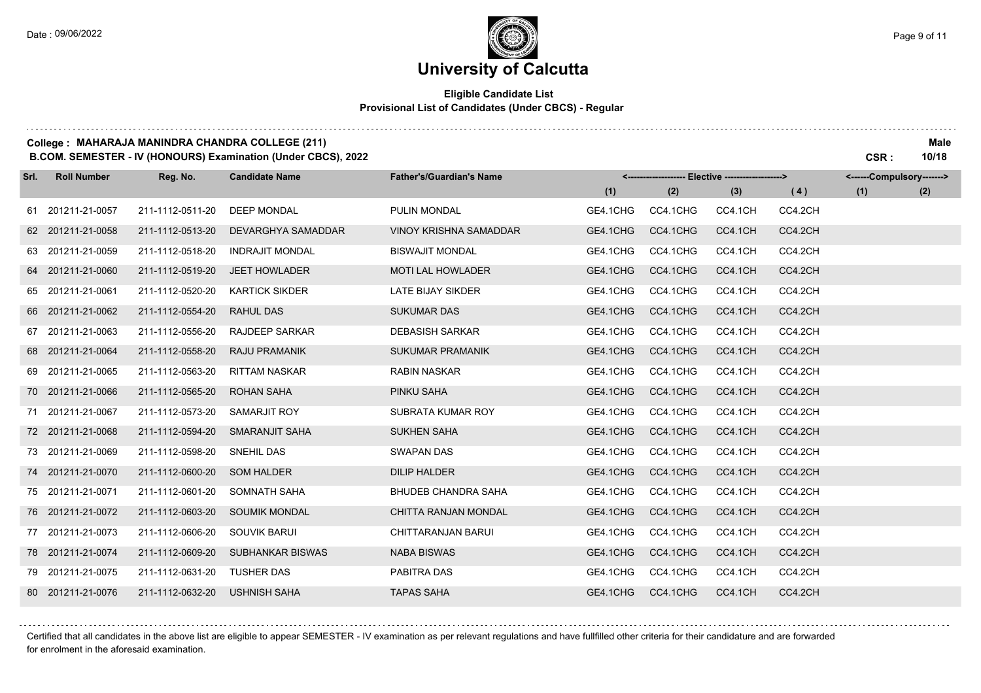## **University of Calcutta**

#### **Eligible Candidate List Provisional List of Candidates (Under CBCS) - Regular**

#### **College : MAHARAJA MANINDRA CHANDRA COLLEGE (211) Male**

**B.COM. SEMESTER - IV (HONOURS) Examination (Under CBCS), 2022 CSR : 10/18**

| Srl. | <b>Roll Number</b> | Reg. No.         | <b>Candidate Name</b>  | <b>Father's/Guardian's Name</b> | <-------------------- Elective -------------------> |          |         |         | <------Compulsory-------> |     |
|------|--------------------|------------------|------------------------|---------------------------------|-----------------------------------------------------|----------|---------|---------|---------------------------|-----|
|      |                    |                  |                        |                                 | (1)                                                 | (2)      | (3)     | (4)     | (1)                       | (2) |
|      | 61 201211-21-0057  | 211-1112-0511-20 | <b>DEEP MONDAL</b>     | PULIN MONDAL                    | GE4.1CHG                                            | CC4.1CHG | CC4.1CH | CC4.2CH |                           |     |
|      | 62 201211-21-0058  | 211-1112-0513-20 | DEVARGHYA SAMADDAR     | <b>VINOY KRISHNA SAMADDAR</b>   | GE4.1CHG                                            | CC4.1CHG | CC4.1CH | CC4.2CH |                           |     |
|      | 63 201211-21-0059  | 211-1112-0518-20 | <b>INDRAJIT MONDAL</b> | <b>BISWAJIT MONDAL</b>          | GE4.1CHG                                            | CC4.1CHG | CC4.1CH | CC4.2CH |                           |     |
|      | 64 201211-21-0060  | 211-1112-0519-20 | <b>JEET HOWLADER</b>   | <b>MOTI LAL HOWLADER</b>        | GE4.1CHG                                            | CC4.1CHG | CC4.1CH | CC4.2CH |                           |     |
|      | 65 201211-21-0061  | 211-1112-0520-20 | <b>KARTICK SIKDER</b>  | LATE BIJAY SIKDER               | GE4.1CHG                                            | CC4.1CHG | CC4.1CH | CC4.2CH |                           |     |
|      | 66 201211-21-0062  | 211-1112-0554-20 | <b>RAHUL DAS</b>       | <b>SUKUMAR DAS</b>              | GE4.1CHG                                            | CC4.1CHG | CC4.1CH | CC4.2CH |                           |     |
|      | 67 201211-21-0063  | 211-1112-0556-20 | <b>RAJDEEP SARKAR</b>  | <b>DEBASISH SARKAR</b>          | GE4.1CHG                                            | CC4.1CHG | CC4.1CH | CC4.2CH |                           |     |
|      | 68 201211-21-0064  | 211-1112-0558-20 | <b>RAJU PRAMANIK</b>   | <b>SUKUMAR PRAMANIK</b>         | GE4.1CHG                                            | CC4.1CHG | CC4.1CH | CC4.2CH |                           |     |
|      | 69 201211-21-0065  | 211-1112-0563-20 | <b>RITTAM NASKAR</b>   | <b>RABIN NASKAR</b>             | GE4.1CHG                                            | CC4.1CHG | CC4.1CH | CC4.2CH |                           |     |
|      | 70 201211-21-0066  | 211-1112-0565-20 | <b>ROHAN SAHA</b>      | PINKU SAHA                      | GE4.1CHG                                            | CC4.1CHG | CC4.1CH | CC4.2CH |                           |     |
|      | 71 201211-21-0067  | 211-1112-0573-20 | <b>SAMARJIT ROY</b>    | SUBRATA KUMAR ROY               | GE4.1CHG                                            | CC4.1CHG | CC4.1CH | CC4.2CH |                           |     |
|      | 72 201211-21-0068  | 211-1112-0594-20 | SMARANJIT SAHA         | <b>SUKHEN SAHA</b>              | GE4.1CHG                                            | CC4.1CHG | CC4.1CH | CC4.2CH |                           |     |
|      | 73 201211-21-0069  | 211-1112-0598-20 | SNEHIL DAS             | <b>SWAPAN DAS</b>               | GE4.1CHG                                            | CC4.1CHG | CC4.1CH | CC4.2CH |                           |     |
|      | 74 201211-21-0070  | 211-1112-0600-20 | <b>SOM HALDER</b>      | <b>DILIP HALDER</b>             | GE4.1CHG                                            | CC4.1CHG | CC4.1CH | CC4.2CH |                           |     |
|      | 75 201211-21-0071  | 211-1112-0601-20 | SOMNATH SAHA           | <b>BHUDEB CHANDRA SAHA</b>      | GE4.1CHG                                            | CC4.1CHG | CC4.1CH | CC4.2CH |                           |     |
|      | 76 201211-21-0072  | 211-1112-0603-20 | <b>SOUMIK MONDAL</b>   | CHITTA RANJAN MONDAL            | GE4.1CHG                                            | CC4.1CHG | CC4.1CH | CC4.2CH |                           |     |
|      | 77 201211-21-0073  | 211-1112-0606-20 | <b>SOUVIK BARUI</b>    | CHITTARANJAN BARUI              | GE4.1CHG                                            | CC4.1CHG | CC4.1CH | CC4.2CH |                           |     |
|      | 78 201211-21-0074  | 211-1112-0609-20 | SUBHANKAR BISWAS       | NABA BISWAS                     | GE4.1CHG                                            | CC4.1CHG | CC4.1CH | CC4.2CH |                           |     |
|      | 79 201211-21-0075  | 211-1112-0631-20 | <b>TUSHER DAS</b>      | PABITRA DAS                     | GE4.1CHG                                            | CC4.1CHG | CC4.1CH | CC4.2CH |                           |     |
|      | 80 201211-21-0076  | 211-1112-0632-20 | USHNISH SAHA           | <b>TAPAS SAHA</b>               | GE4.1CHG                                            | CC4.1CHG | CC4.1CH | CC4.2CH |                           |     |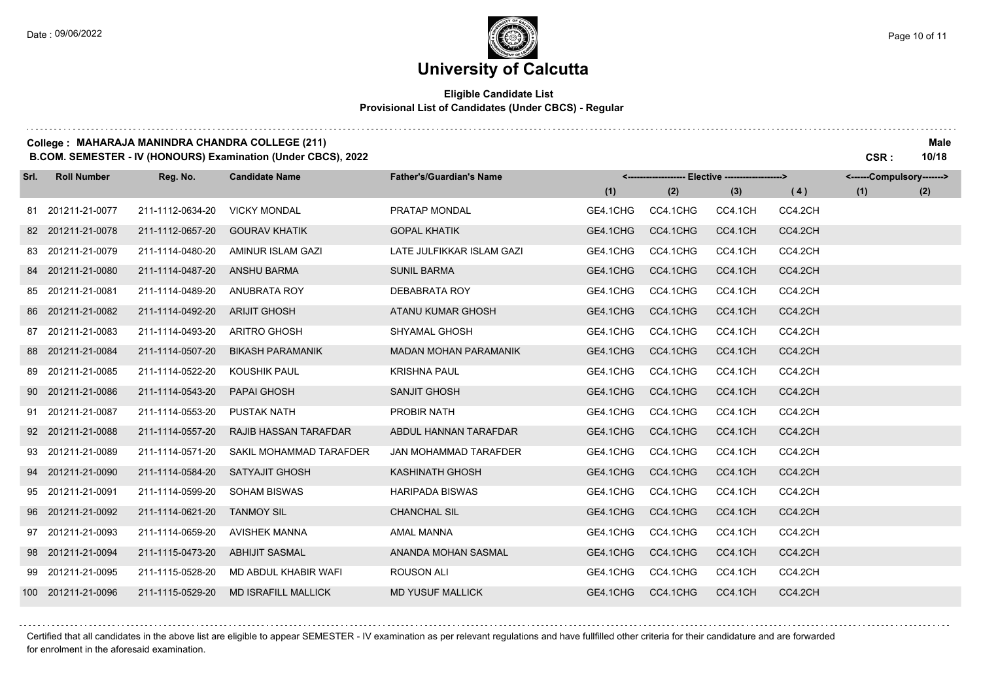### **Eligible Candidate List Provisional List of Candidates (Under CBCS) - Regular**

#### **College : MAHARAJA MANINDRA CHANDRA COLLEGE (211) Male**

**B.COM. SEMESTER - IV (HONOURS) Examination (Under CBCS), 2022 CSR : 10/18**

| Srl. | <b>Roll Number</b> | Reg. No.         | <b>Candidate Name</b>      | <b>Father's/Guardian's Name</b> | <-------------------- Elective ------------------> |          |         | <------Compulsory-------> |     |     |
|------|--------------------|------------------|----------------------------|---------------------------------|----------------------------------------------------|----------|---------|---------------------------|-----|-----|
|      |                    |                  |                            |                                 | (1)                                                | (2)      | (3)     | (4)                       | (1) | (2) |
|      | 81 201211-21-0077  | 211-1112-0634-20 | <b>VICKY MONDAL</b>        | PRATAP MONDAL                   | GE4.1CHG                                           | CC4.1CHG | CC4.1CH | CC4.2CH                   |     |     |
|      | 82 201211-21-0078  | 211-1112-0657-20 | <b>GOURAV KHATIK</b>       | <b>GOPAL KHATIK</b>             | GE4.1CHG                                           | CC4.1CHG | CC4.1CH | CC4.2CH                   |     |     |
|      | 83 201211-21-0079  | 211-1114-0480-20 | AMINUR ISLAM GAZI          | LATE JULFIKKAR ISLAM GAZI       | GE4.1CHG                                           | CC4.1CHG | CC4.1CH | CC4.2CH                   |     |     |
|      | 84 201211-21-0080  | 211-1114-0487-20 | <b>ANSHU BARMA</b>         | <b>SUNIL BARMA</b>              | GE4.1CHG                                           | CC4.1CHG | CC4.1CH | CC4.2CH                   |     |     |
|      | 85 201211-21-0081  | 211-1114-0489-20 | ANUBRATA ROY               | DEBABRATA ROY                   | GE4.1CHG                                           | CC4.1CHG | CC4.1CH | CC4.2CH                   |     |     |
|      | 86 201211-21-0082  | 211-1114-0492-20 | <b>ARIJIT GHOSH</b>        | ATANU KUMAR GHOSH               | GE4.1CHG                                           | CC4.1CHG | CC4.1CH | CC4.2CH                   |     |     |
|      | 87 201211-21-0083  | 211-1114-0493-20 | <b>ARITRO GHOSH</b>        | <b>SHYAMAL GHOSH</b>            | GE4.1CHG                                           | CC4.1CHG | CC4.1CH | CC4.2CH                   |     |     |
|      | 88 201211-21-0084  | 211-1114-0507-20 | <b>BIKASH PARAMANIK</b>    | <b>MADAN MOHAN PARAMANIK</b>    | GE4.1CHG                                           | CC4.1CHG | CC4.1CH | CC4.2CH                   |     |     |
|      | 89 201211-21-0085  | 211-1114-0522-20 | <b>KOUSHIK PAUL</b>        | <b>KRISHNA PAUL</b>             | GE4.1CHG                                           | CC4.1CHG | CC4.1CH | CC4.2CH                   |     |     |
|      | 90 201211-21-0086  | 211-1114-0543-20 | <b>PAPAI GHOSH</b>         | <b>SANJIT GHOSH</b>             | GE4.1CHG                                           | CC4.1CHG | CC4.1CH | CC4.2CH                   |     |     |
|      | 91 201211-21-0087  | 211-1114-0553-20 | <b>PUSTAK NATH</b>         | PROBIR NATH                     | GE4.1CHG                                           | CC4.1CHG | CC4.1CH | CC4.2CH                   |     |     |
|      | 92 201211-21-0088  | 211-1114-0557-20 | RAJIB HASSAN TARAFDAR      | ABDUL HANNAN TARAFDAR           | GE4.1CHG                                           | CC4.1CHG | CC4.1CH | CC4.2CH                   |     |     |
|      | 93 201211-21-0089  | 211-1114-0571-20 | SAKIL MOHAMMAD TARAFDER    | <b>JAN MOHAMMAD TARAFDER</b>    | GE4.1CHG                                           | CC4.1CHG | CC4.1CH | CC4.2CH                   |     |     |
|      | 94 201211-21-0090  | 211-1114-0584-20 | <b>SATYAJIT GHOSH</b>      | KASHINATH GHOSH                 | GE4.1CHG                                           | CC4.1CHG | CC4.1CH | CC4.2CH                   |     |     |
|      | 95 201211-21-0091  | 211-1114-0599-20 | <b>SOHAM BISWAS</b>        | <b>HARIPADA BISWAS</b>          | GE4.1CHG                                           | CC4.1CHG | CC4.1CH | CC4.2CH                   |     |     |
|      | 96 201211-21-0092  | 211-1114-0621-20 | <b>TANMOY SIL</b>          | <b>CHANCHAL SIL</b>             | GE4.1CHG                                           | CC4.1CHG | CC4.1CH | CC4.2CH                   |     |     |
|      | 97 201211-21-0093  | 211-1114-0659-20 | <b>AVISHEK MANNA</b>       | <b>AMAL MANNA</b>               | GE4.1CHG                                           | CC4.1CHG | CC4.1CH | CC4.2CH                   |     |     |
|      | 98 201211-21-0094  | 211-1115-0473-20 | <b>ABHIJIT SASMAL</b>      | ANANDA MOHAN SASMAL             | GE4.1CHG                                           | CC4.1CHG | CC4.1CH | CC4.2CH                   |     |     |
|      | 99 201211-21-0095  | 211-1115-0528-20 | MD ABDUL KHABIR WAFI       | <b>ROUSON ALI</b>               | GE4.1CHG                                           | CC4.1CHG | CC4.1CH | CC4.2CH                   |     |     |
|      | 100 201211-21-0096 | 211-1115-0529-20 | <b>MD ISRAFILL MALLICK</b> | <b>MD YUSUF MALLICK</b>         | GE4.1CHG                                           | CC4.1CHG | CC4.1CH | CC4.2CH                   |     |     |

####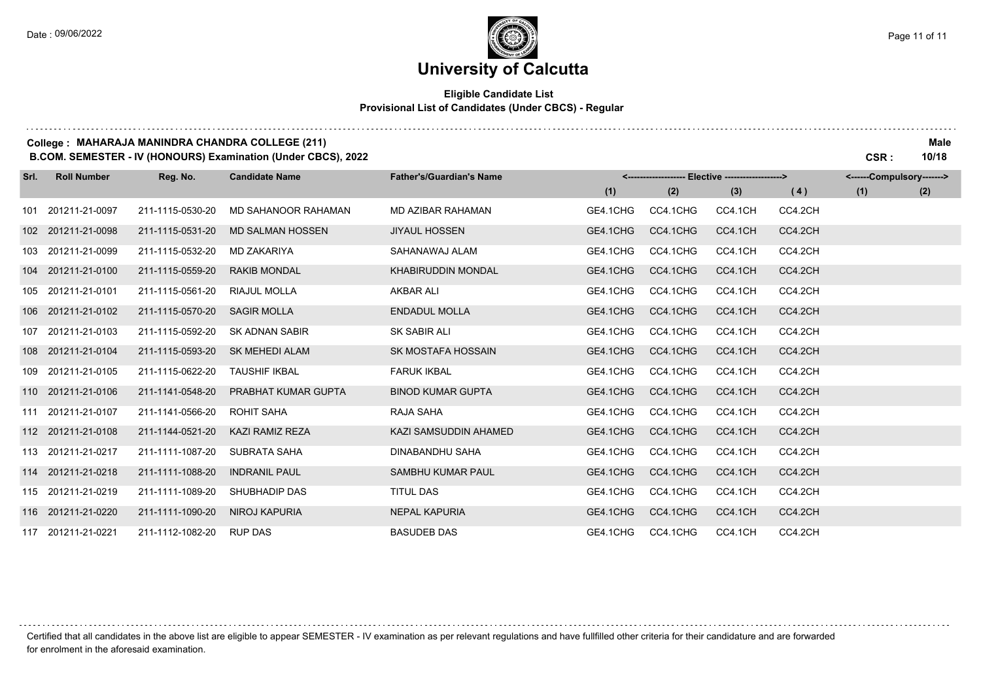### **University of Calcutta**

### **Eligible Candidate List Provisional List of Candidates (Under CBCS) - Regular**

#### **College : MAHARAJA MANINDRA CHANDRA COLLEGE (211) Male**

**B.COM. SEMESTER - IV (HONOURS) Examination (Under CBCS), 2022 CSR : 10/18**

| Srl. | <b>Roll Number</b> | Reg. No.         | <b>Candidate Name</b>   | <b>Father's/Guardian's Name</b> | <------------------- Elective ------------------> |          |         |         | <------Compulsory-------> |     |  |
|------|--------------------|------------------|-------------------------|---------------------------------|---------------------------------------------------|----------|---------|---------|---------------------------|-----|--|
|      |                    |                  |                         |                                 | (1)                                               | (2)      | (3)     | (4)     | (1)                       | (2) |  |
|      | 101 201211-21-0097 | 211-1115-0530-20 | MD SAHANOOR RAHAMAN     | <b>MD AZIBAR RAHAMAN</b>        | GE4.1CHG                                          | CC4.1CHG | CC4.1CH | CC4.2CH |                           |     |  |
|      | 102 201211-21-0098 | 211-1115-0531-20 | <b>MD SALMAN HOSSEN</b> | <b>JIYAUL HOSSEN</b>            | GE4.1CHG                                          | CC4.1CHG | CC4.1CH | CC4.2CH |                           |     |  |
|      | 103 201211-21-0099 | 211-1115-0532-20 | <b>MD ZAKARIYA</b>      | SAHANAWAJ ALAM                  | GE4.1CHG                                          | CC4.1CHG | CC4.1CH | CC4.2CH |                           |     |  |
|      | 104 201211-21-0100 | 211-1115-0559-20 | <b>RAKIB MONDAL</b>     | <b>KHABIRUDDIN MONDAL</b>       | GE4.1CHG                                          | CC4.1CHG | CC4.1CH | CC4.2CH |                           |     |  |
|      | 105 201211-21-0101 | 211-1115-0561-20 | RIAJUL MOLLA            | <b>AKBAR ALI</b>                | GE4.1CHG                                          | CC4.1CHG | CC4.1CH | CC4.2CH |                           |     |  |
| 106  | 201211-21-0102     | 211-1115-0570-20 | <b>SAGIR MOLLA</b>      | <b>ENDADUL MOLLA</b>            | GE4.1CHG                                          | CC4.1CHG | CC4.1CH | CC4.2CH |                           |     |  |
| 107  | 201211-21-0103     | 211-1115-0592-20 | <b>SK ADNAN SABIR</b>   | <b>SK SABIR ALI</b>             | GE4.1CHG                                          | CC4.1CHG | CC4.1CH | CC4.2CH |                           |     |  |
|      | 108 201211-21-0104 | 211-1115-0593-20 | <b>SK MEHEDI ALAM</b>   | SK MOSTAFA HOSSAIN              | GE4.1CHG                                          | CC4.1CHG | CC4.1CH | CC4.2CH |                           |     |  |
|      | 109 201211-21-0105 | 211-1115-0622-20 | <b>TAUSHIF IKBAL</b>    | <b>FARUK IKBAL</b>              | GE4.1CHG                                          | CC4.1CHG | CC4.1CH | CC4.2CH |                           |     |  |
|      | 110 201211-21-0106 | 211-1141-0548-20 | PRABHAT KUMAR GUPTA     | <b>BINOD KUMAR GUPTA</b>        | GE4.1CHG                                          | CC4.1CHG | CC4.1CH | CC4.2CH |                           |     |  |
|      | 111 201211-21-0107 | 211-1141-0566-20 | <b>ROHIT SAHA</b>       | RAJA SAHA                       | GE4.1CHG                                          | CC4.1CHG | CC4.1CH | CC4.2CH |                           |     |  |
|      | 112 201211-21-0108 | 211-1144-0521-20 | <b>KAZI RAMIZ REZA</b>  | KAZI SAMSUDDIN AHAMED           | GE4.1CHG                                          | CC4.1CHG | CC4.1CH | CC4.2CH |                           |     |  |
|      | 113 201211-21-0217 | 211-1111-1087-20 | SUBRATA SAHA            | DINABANDHU SAHA                 | GE4.1CHG                                          | CC4.1CHG | CC4.1CH | CC4.2CH |                           |     |  |
|      | 114 201211-21-0218 | 211-1111-1088-20 | <b>INDRANIL PAUL</b>    | <b>SAMBHU KUMAR PAUL</b>        | GE4.1CHG                                          | CC4.1CHG | CC4.1CH | CC4.2CH |                           |     |  |
|      | 115 201211-21-0219 | 211-1111-1089-20 | SHUBHADIP DAS           | <b>TITUL DAS</b>                | GE4.1CHG                                          | CC4.1CHG | CC4.1CH | CC4.2CH |                           |     |  |
|      | 116 201211-21-0220 | 211-1111-1090-20 | <b>NIROJ KAPURIA</b>    | <b>NEPAL KAPURIA</b>            | GE4.1CHG                                          | CC4.1CHG | CC4.1CH | CC4.2CH |                           |     |  |
|      | 117 201211-21-0221 | 211-1112-1082-20 | <b>RUP DAS</b>          | <b>BASUDEB DAS</b>              | GE4.1CHG                                          | CC4.1CHG | CC4.1CH | CC4.2CH |                           |     |  |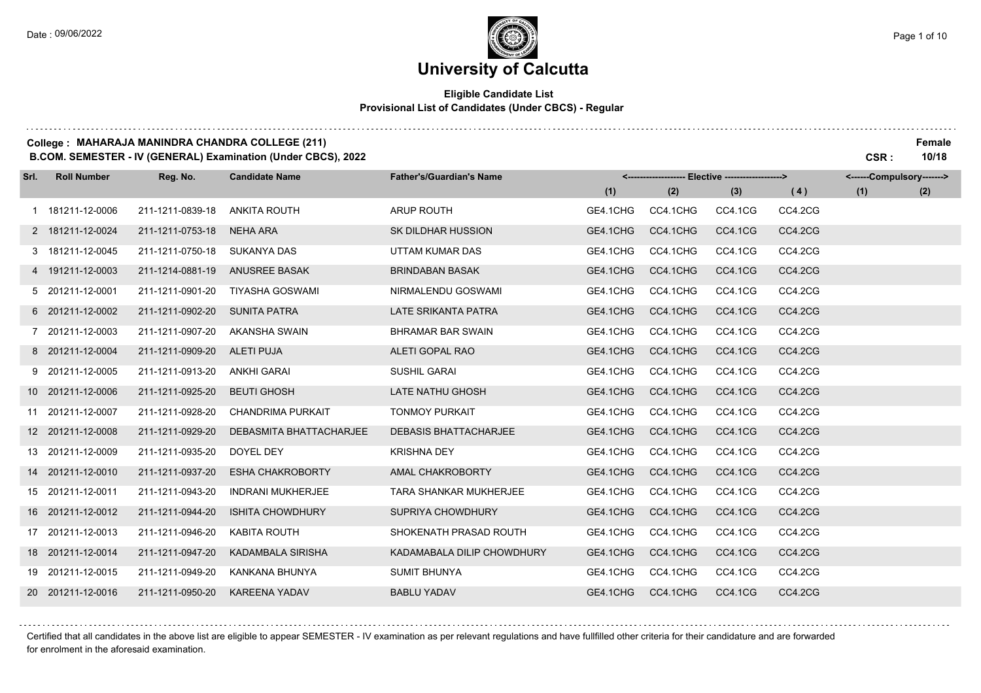### **Eligible Candidate List Provisional List of Candidates (Under CBCS) - Regular**

#### **College : MAHARAJA MANINDRA CHANDRA COLLEGE (211) Female**

**B.COM. SEMESTER - IV (GENERAL) Examination (Under CBCS), 2022 CSR : 10/18**

| Srl. | <b>Roll Number</b> | Reg. No.         | <b>Candidate Name</b>    | <b>Father's/Guardian's Name</b> |          | <------------------- Elective ------------------> |         |         | <------Compulsory-------> |     |
|------|--------------------|------------------|--------------------------|---------------------------------|----------|---------------------------------------------------|---------|---------|---------------------------|-----|
|      |                    |                  |                          |                                 | (1)      | (2)                                               | (3)     | (4)     | (1)                       | (2) |
|      | 1 181211-12-0006   | 211-1211-0839-18 | <b>ANKITA ROUTH</b>      | <b>ARUP ROUTH</b>               | GE4.1CHG | CC4.1CHG                                          | CC4.1CG | CC4.2CG |                           |     |
|      | 2 181211-12-0024   | 211-1211-0753-18 | <b>NEHA ARA</b>          | <b>SK DILDHAR HUSSION</b>       | GE4.1CHG | CC4.1CHG                                          | CC4.1CG | CC4.2CG |                           |     |
|      | 3 181211-12-0045   | 211-1211-0750-18 | <b>SUKANYA DAS</b>       | UTTAM KUMAR DAS                 | GE4.1CHG | CC4.1CHG                                          | CC4.1CG | CC4.2CG |                           |     |
|      | 4 191211-12-0003   | 211-1214-0881-19 | <b>ANUSREE BASAK</b>     | <b>BRINDABAN BASAK</b>          | GE4.1CHG | CC4.1CHG                                          | CC4.1CG | CC4.2CG |                           |     |
|      | 5 201211-12-0001   | 211-1211-0901-20 | <b>TIYASHA GOSWAMI</b>   | NIRMALENDU GOSWAMI              | GE4.1CHG | CC4.1CHG                                          | CC4.1CG | CC4.2CG |                           |     |
|      | 6 201211-12-0002   | 211-1211-0902-20 | <b>SUNITA PATRA</b>      | LATE SRIKANTA PATRA             | GE4.1CHG | CC4.1CHG                                          | CC4.1CG | CC4.2CG |                           |     |
|      | 7 201211-12-0003   | 211-1211-0907-20 | AKANSHA SWAIN            | <b>BHRAMAR BAR SWAIN</b>        | GE4.1CHG | CC4.1CHG                                          | CC4.1CG | CC4.2CG |                           |     |
|      | 8 201211-12-0004   | 211-1211-0909-20 | <b>ALETI PUJA</b>        | ALETI GOPAL RAO                 | GE4.1CHG | CC4.1CHG                                          | CC4.1CG | CC4.2CG |                           |     |
|      | 9 201211-12-0005   | 211-1211-0913-20 | ANKHI GARAI              | <b>SUSHIL GARAI</b>             | GE4.1CHG | CC4.1CHG                                          | CC4.1CG | CC4.2CG |                           |     |
|      | 10 201211-12-0006  | 211-1211-0925-20 | <b>BEUTI GHOSH</b>       | LATE NATHU GHOSH                | GE4.1CHG | CC4.1CHG                                          | CC4.1CG | CC4.2CG |                           |     |
|      | 11 201211-12-0007  | 211-1211-0928-20 | CHANDRIMA PURKAIT        | <b>TONMOY PURKAIT</b>           | GE4.1CHG | CC4.1CHG                                          | CC4.1CG | CC4.2CG |                           |     |
|      | 12 201211-12-0008  | 211-1211-0929-20 | DEBASMITA BHATTACHARJEE  | <b>DEBASIS BHATTACHARJEE</b>    | GE4.1CHG | CC4.1CHG                                          | CC4.1CG | CC4.2CG |                           |     |
|      | 13 201211-12-0009  | 211-1211-0935-20 | DOYEL DEY                | <b>KRISHNA DEY</b>              | GE4.1CHG | CC4.1CHG                                          | CC4.1CG | CC4.2CG |                           |     |
|      | 14 201211-12-0010  | 211-1211-0937-20 | <b>ESHA CHAKROBORTY</b>  | AMAL CHAKROBORTY                | GE4.1CHG | CC4.1CHG                                          | CC4.1CG | CC4.2CG |                           |     |
|      | 15 201211-12-0011  | 211-1211-0943-20 | <b>INDRANI MUKHERJEE</b> | <b>TARA SHANKAR MUKHERJEE</b>   | GE4.1CHG | CC4.1CHG                                          | CC4.1CG | CC4.2CG |                           |     |
|      | 16 201211-12-0012  | 211-1211-0944-20 | <b>ISHITA CHOWDHURY</b>  | SUPRIYA CHOWDHURY               | GE4.1CHG | CC4.1CHG                                          | CC4.1CG | CC4.2CG |                           |     |
|      | 17 201211-12-0013  | 211-1211-0946-20 | KABITA ROUTH             | SHOKENATH PRASAD ROUTH          | GE4.1CHG | CC4.1CHG                                          | CC4.1CG | CC4.2CG |                           |     |
|      | 18 201211-12-0014  | 211-1211-0947-20 | <b>KADAMBALA SIRISHA</b> | KADAMABALA DILIP CHOWDHURY      | GE4.1CHG | CC4.1CHG                                          | CC4.1CG | CC4.2CG |                           |     |
|      | 19 201211-12-0015  | 211-1211-0949-20 | KANKANA BHUNYA           | <b>SUMIT BHUNYA</b>             | GE4.1CHG | CC4.1CHG                                          | CC4.1CG | CC4.2CG |                           |     |
|      | 20 201211-12-0016  | 211-1211-0950-20 | <b>KAREENA YADAV</b>     | <b>BABLU YADAV</b>              | GE4.1CHG | CC4.1CHG                                          | CC4.1CG | CC4.2CG |                           |     |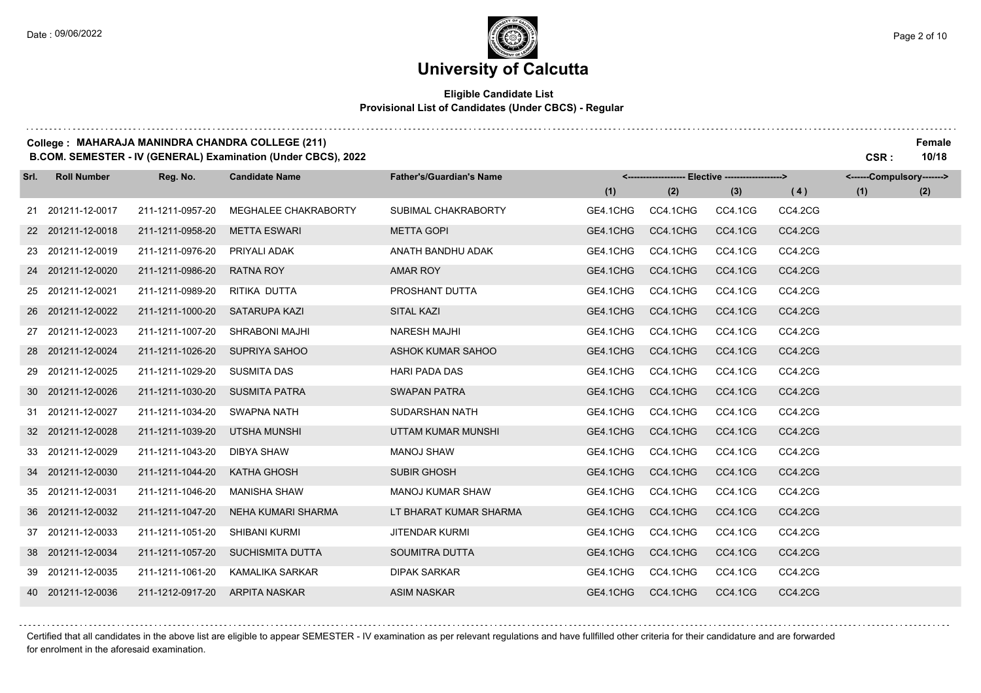#### **Eligible Candidate List Provisional List of Candidates (Under CBCS) - Regular**

#### **College : MAHARAJA MANINDRA CHANDRA COLLEGE (211) Female**

**B.COM. SEMESTER - IV (GENERAL) Examination (Under CBCS), 2022 CSR : 10/18**

| Srl. | <b>Roll Number</b> | Reg. No.         | <b>Candidate Name</b>     | <b>Father's/Guardian's Name</b> |          | <------------------- Elective -------------------> |                |         | <------Compulsory-------> |     |
|------|--------------------|------------------|---------------------------|---------------------------------|----------|----------------------------------------------------|----------------|---------|---------------------------|-----|
|      |                    |                  |                           |                                 | (1)      | (2)                                                | (3)            | (4)     | (1)                       | (2) |
|      | 21 201211-12-0017  | 211-1211-0957-20 | MEGHALEE CHAKRABORTY      | SUBIMAL CHAKRABORTY             | GE4.1CHG | CC4.1CHG                                           | CC4.1CG        | CC4.2CG |                           |     |
|      | 22 201211-12-0018  | 211-1211-0958-20 | <b>METTA ESWARI</b>       | <b>METTA GOPI</b>               | GE4.1CHG | CC4.1CHG                                           | CC4.1CG        | CC4.2CG |                           |     |
|      | 23 201211-12-0019  | 211-1211-0976-20 | PRIYALI ADAK              | ANATH BANDHU ADAK               | GE4.1CHG | CC4.1CHG                                           | CC4.1CG        | CC4.2CG |                           |     |
|      | 24 201211-12-0020  | 211-1211-0986-20 | RATNA ROY                 | AMAR ROY                        | GE4.1CHG | CC4.1CHG                                           | CC4.1CG        | CC4.2CG |                           |     |
|      | 25 201211-12-0021  | 211-1211-0989-20 | RITIKA DUTTA              | PROSHANT DUTTA                  | GE4.1CHG | CC4.1CHG                                           | CC4.1CG        | CC4.2CG |                           |     |
|      | 26 201211-12-0022  | 211-1211-1000-20 | <b>SATARUPA KAZI</b>      | <b>SITAL KAZI</b>               | GE4.1CHG | CC4.1CHG                                           | CC4.1CG        | CC4.2CG |                           |     |
|      | 27 201211-12-0023  | 211-1211-1007-20 | <b>SHRABONI MAJHI</b>     | <b>NARESH MAJHI</b>             | GE4.1CHG | CC4.1CHG                                           | CC4.1CG        | CC4.2CG |                           |     |
|      | 28 201211-12-0024  | 211-1211-1026-20 | SUPRIYA SAHOO             | ASHOK KUMAR SAHOO               | GE4.1CHG | CC4.1CHG                                           | CC4.1CG        | CC4.2CG |                           |     |
|      | 29 201211-12-0025  | 211-1211-1029-20 | <b>SUSMITA DAS</b>        | <b>HARI PADA DAS</b>            | GE4.1CHG | CC4.1CHG                                           | CC4.1CG        | CC4.2CG |                           |     |
|      | 30 201211-12-0026  | 211-1211-1030-20 | <b>SUSMITA PATRA</b>      | <b>SWAPAN PATRA</b>             | GE4.1CHG | CC4.1CHG                                           | CC4.1CG        | CC4.2CG |                           |     |
|      | 31 201211-12-0027  | 211-1211-1034-20 | <b>SWAPNA NATH</b>        | <b>SUDARSHAN NATH</b>           | GE4.1CHG | CC4.1CHG                                           | CC4.1CG        | CC4.2CG |                           |     |
|      | 32 201211-12-0028  | 211-1211-1039-20 | UTSHA MUNSHI              | UTTAM KUMAR MUNSHI              | GE4.1CHG | CC4.1CHG                                           | CC4.1CG        | CC4.2CG |                           |     |
|      | 33 201211-12-0029  | 211-1211-1043-20 | <b>DIBYA SHAW</b>         | <b>MANOJ SHAW</b>               | GE4.1CHG | CC4.1CHG                                           | CC4.1CG        | CC4.2CG |                           |     |
|      | 34 201211-12-0030  | 211-1211-1044-20 | <b>KATHA GHOSH</b>        | <b>SUBIR GHOSH</b>              | GE4.1CHG | CC4.1CHG                                           | CC4.1CG        | CC4.2CG |                           |     |
|      | 35 201211-12-0031  | 211-1211-1046-20 | <b>MANISHA SHAW</b>       | <b>MANOJ KUMAR SHAW</b>         | GE4.1CHG | CC4.1CHG                                           | CC4.1CG        | CC4.2CG |                           |     |
|      | 36 201211-12-0032  | 211-1211-1047-20 | <b>NEHA KUMARI SHARMA</b> | LT BHARAT KUMAR SHARMA          | GE4.1CHG | CC4.1CHG                                           | CC4.1CG        | CC4.2CG |                           |     |
|      | 37 201211-12-0033  | 211-1211-1051-20 | SHIBANI KURMI             | <b>JITENDAR KURMI</b>           | GE4.1CHG | CC4.1CHG                                           | CC4.1CG        | CC4.2CG |                           |     |
|      | 38 201211-12-0034  | 211-1211-1057-20 | <b>SUCHISMITA DUTTA</b>   | SOUMITRA DUTTA                  | GE4.1CHG | CC4.1CHG                                           | CC4.1CG        | CC4.2CG |                           |     |
|      | 39 201211-12-0035  | 211-1211-1061-20 | KAMALIKA SARKAR           | <b>DIPAK SARKAR</b>             | GE4.1CHG | CC4.1CHG                                           | CC4.1CG        | CC4.2CG |                           |     |
|      | 40 201211-12-0036  | 211-1212-0917-20 | <b>ARPITA NASKAR</b>      | <b>ASIM NASKAR</b>              | GE4.1CHG | CC4.1CHG                                           | <b>CC4.1CG</b> | CC4.2CG |                           |     |

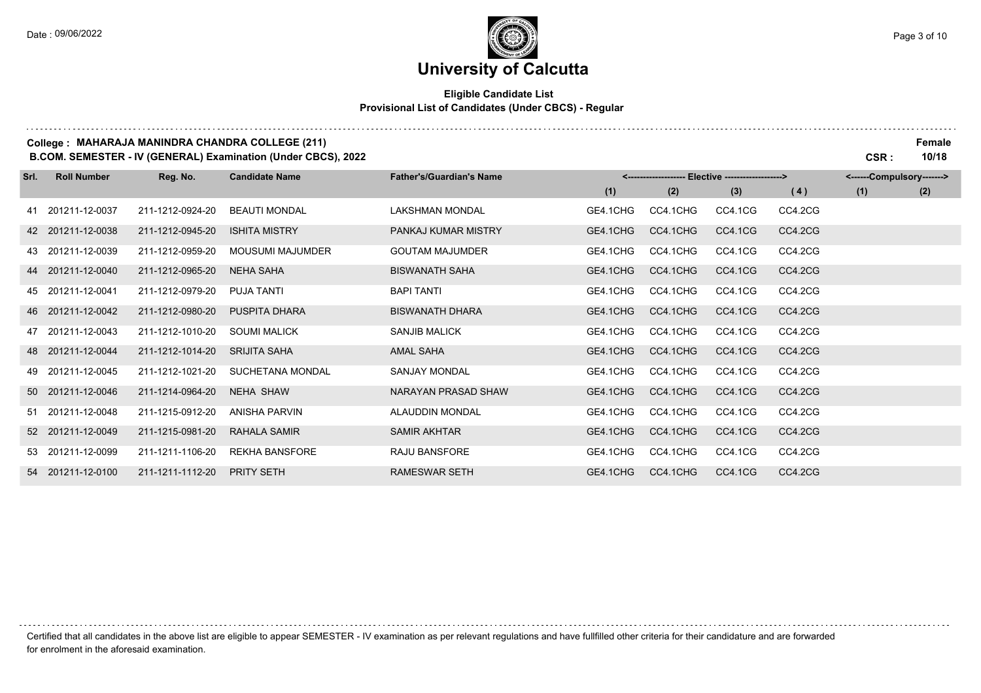## **University of Calcutta**

### **Eligible Candidate List Provisional List of Candidates (Under CBCS) - Regular**

#### **College : MAHARAJA MANINDRA CHANDRA COLLEGE (211) Female**

**B.COM. SEMESTER - IV (GENERAL) Examination (Under CBCS), 2022 CSR : 10/18**

| Srl. | <b>Roll Number</b> | Reg. No.         | <b>Candidate Name</b> | <b>Father's/Guardian's Name</b> |          |          | <------Compulsory-------> |         |     |     |
|------|--------------------|------------------|-----------------------|---------------------------------|----------|----------|---------------------------|---------|-----|-----|
|      |                    |                  |                       |                                 | (1)      | (2)      | (3)                       | (4)     | (1) | (2) |
|      | 41 201211-12-0037  | 211-1212-0924-20 | <b>BEAUTI MONDAL</b>  | <b>LAKSHMAN MONDAL</b>          | GE4.1CHG | CC4.1CHG | CC4.1CG                   | CC4.2CG |     |     |
|      | 42 201211-12-0038  | 211-1212-0945-20 | <b>ISHITA MISTRY</b>  | PANKAJ KUMAR MISTRY             | GE4.1CHG | CC4.1CHG | CC4.1CG                   | CC4.2CG |     |     |
|      | 43 201211-12-0039  | 211-1212-0959-20 | MOUSUMI MAJUMDER      | <b>GOUTAM MAJUMDER</b>          | GE4.1CHG | CC4.1CHG | CC4.1CG                   | CC4.2CG |     |     |
|      | 44 201211-12-0040  | 211-1212-0965-20 | <b>NEHA SAHA</b>      | <b>BISWANATH SAHA</b>           | GE4.1CHG | CC4.1CHG | CC4.1CG                   | CC4.2CG |     |     |
|      | 45 201211-12-0041  | 211-1212-0979-20 | <b>PUJA TANTI</b>     | <b>BAPI TANTI</b>               | GE4.1CHG | CC4.1CHG | CC4.1CG                   | CC4.2CG |     |     |
|      | 46 201211-12-0042  | 211-1212-0980-20 | <b>PUSPITA DHARA</b>  | <b>BISWANATH DHARA</b>          | GE4.1CHG | CC4.1CHG | CC4.1CG                   | CC4.2CG |     |     |
|      | 47 201211-12-0043  | 211-1212-1010-20 | <b>SOUMI MALICK</b>   | <b>SANJIB MALICK</b>            | GE4.1CHG | CC4.1CHG | CC4.1CG                   | CC4.2CG |     |     |
|      | 48 201211-12-0044  | 211-1212-1014-20 | <b>SRIJITA SAHA</b>   | <b>AMAL SAHA</b>                | GE4.1CHG | CC4.1CHG | CC4.1CG                   | CC4.2CG |     |     |
|      | 49 201211-12-0045  | 211-1212-1021-20 | SUCHETANA MONDAL      | <b>SANJAY MONDAL</b>            | GE4.1CHG | CC4.1CHG | CC4.1CG                   | CC4.2CG |     |     |
|      | 50 201211-12-0046  | 211-1214-0964-20 | <b>NEHA SHAW</b>      | NARAYAN PRASAD SHAW             | GE4.1CHG | CC4.1CHG | CC4.1CG                   | CC4.2CG |     |     |
|      | 51 201211-12-0048  | 211-1215-0912-20 | <b>ANISHA PARVIN</b>  | ALAUDDIN MONDAL                 | GE4.1CHG | CC4.1CHG | CC4.1CG                   | CC4.2CG |     |     |
|      | 52 201211-12-0049  | 211-1215-0981-20 | RAHALA SAMIR          | <b>SAMIR AKHTAR</b>             | GE4.1CHG | CC4.1CHG | CC4.1CG                   | CC4.2CG |     |     |
|      | 53 201211-12-0099  | 211-1211-1106-20 | <b>REKHA BANSFORE</b> | <b>RAJU BANSFORE</b>            | GE4.1CHG | CC4.1CHG | CC4.1CG                   | CC4.2CG |     |     |
|      | 54 201211-12-0100  | 211-1211-1112-20 | <b>PRITY SETH</b>     | <b>RAMESWAR SETH</b>            | GE4.1CHG | CC4.1CHG | CC4.1CG                   | CC4.2CG |     |     |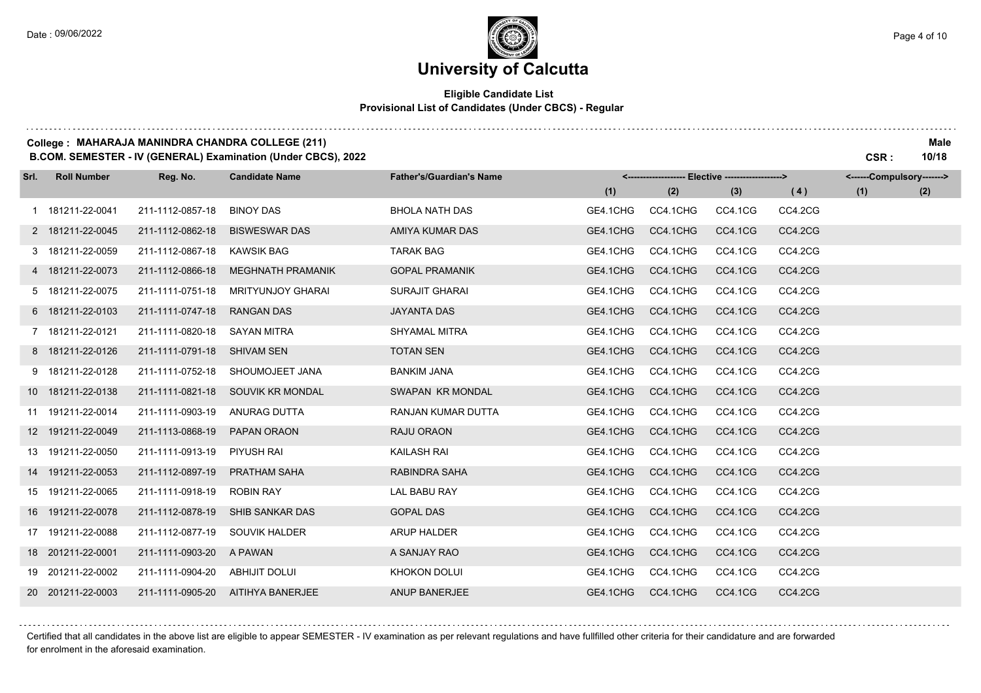### **University of Calcutta**

### **Eligible Candidate List Provisional List of Candidates (Under CBCS) - Regular**

#### **College : MAHARAJA MANINDRA CHANDRA COLLEGE (211) Male**

**B.COM. SEMESTER - IV (GENERAL) Examination (Under CBCS), 2022 CSR : 10/18**

| Srl. | <b>Roll Number</b> | Reg. No.         | <b>Candidate Name</b>    | <b>Father's/Guardian's Name</b> |          | <-------------------- Elective ------------------> |         |         | <------Compulsory-------> |     |
|------|--------------------|------------------|--------------------------|---------------------------------|----------|----------------------------------------------------|---------|---------|---------------------------|-----|
|      |                    |                  |                          |                                 | (1)      | (2)                                                | (3)     | (4)     | (1)                       | (2) |
|      | 1 181211-22-0041   | 211-1112-0857-18 | <b>BINOY DAS</b>         | <b>BHOLA NATH DAS</b>           | GE4.1CHG | CC4.1CHG                                           | CC4.1CG | CC4.2CG |                           |     |
|      | 2 181211-22-0045   | 211-1112-0862-18 | <b>BISWESWAR DAS</b>     | AMIYA KUMAR DAS                 | GE4.1CHG | CC4.1CHG                                           | CC4.1CG | CC4.2CG |                           |     |
|      | 3 181211-22-0059   | 211-1112-0867-18 | <b>KAWSIK BAG</b>        | <b>TARAK BAG</b>                | GE4.1CHG | CC4.1CHG                                           | CC4.1CG | CC4.2CG |                           |     |
|      | 4 181211-22-0073   | 211-1112-0866-18 | <b>MEGHNATH PRAMANIK</b> | <b>GOPAL PRAMANIK</b>           | GE4.1CHG | CC4.1CHG                                           | CC4.1CG | CC4.2CG |                           |     |
|      | 5 181211-22-0075   | 211-1111-0751-18 | <b>MRITYUNJOY GHARAI</b> | <b>SURAJIT GHARAI</b>           | GE4.1CHG | CC4.1CHG                                           | CC4.1CG | CC4.2CG |                           |     |
|      | 6 181211-22-0103   | 211-1111-0747-18 | <b>RANGAN DAS</b>        | <b>JAYANTA DAS</b>              | GE4.1CHG | CC4.1CHG                                           | CC4.1CG | CC4.2CG |                           |     |
|      | 7 181211-22-0121   | 211-1111-0820-18 | <b>SAYAN MITRA</b>       | <b>SHYAMAL MITRA</b>            | GE4.1CHG | CC4.1CHG                                           | CC4.1CG | CC4.2CG |                           |     |
|      | 8 181211-22-0126   | 211-1111-0791-18 | <b>SHIVAM SEN</b>        | <b>TOTAN SEN</b>                | GE4.1CHG | CC4.1CHG                                           | CC4.1CG | CC4.2CG |                           |     |
|      | 9 181211-22-0128   | 211-1111-0752-18 | SHOUMOJEET JANA          | <b>BANKIM JANA</b>              | GE4.1CHG | CC4.1CHG                                           | CC4.1CG | CC4.2CG |                           |     |
|      | 10 181211-22-0138  | 211-1111-0821-18 | SOUVIK KR MONDAL         | SWAPAN KR MONDAL                | GE4.1CHG | CC4.1CHG                                           | CC4.1CG | CC4.2CG |                           |     |
|      | 11 191211-22-0014  | 211-1111-0903-19 | ANURAG DUTTA             | RANJAN KUMAR DUTTA              | GE4.1CHG | CC4.1CHG                                           | CC4.1CG | CC4.2CG |                           |     |
|      | 12 191211-22-0049  | 211-1113-0868-19 | PAPAN ORAON              | RAJU ORAON                      | GE4.1CHG | CC4.1CHG                                           | CC4.1CG | CC4.2CG |                           |     |
|      | 13 191211-22-0050  | 211-1111-0913-19 | PIYUSH RAI               | KAILASH RAI                     | GE4.1CHG | CC4.1CHG                                           | CC4.1CG | CC4.2CG |                           |     |
|      | 14 191211-22-0053  | 211-1112-0897-19 | <b>PRATHAM SAHA</b>      | RABINDRA SAHA                   | GE4.1CHG | CC4.1CHG                                           | CC4.1CG | CC4.2CG |                           |     |
|      | 15 191211-22-0065  | 211-1111-0918-19 | <b>ROBIN RAY</b>         | <b>LAL BABU RAY</b>             | GE4.1CHG | CC4.1CHG                                           | CC4.1CG | CC4.2CG |                           |     |
|      | 16 191211-22-0078  | 211-1112-0878-19 | SHIB SANKAR DAS          | <b>GOPAL DAS</b>                | GE4.1CHG | CC4.1CHG                                           | CC4.1CG | CC4.2CG |                           |     |
|      | 17 191211-22-0088  | 211-1112-0877-19 | <b>SOUVIK HALDER</b>     | <b>ARUP HALDER</b>              | GE4.1CHG | CC4.1CHG                                           | CC4.1CG | CC4.2CG |                           |     |
|      | 18 201211-22-0001  | 211-1111-0903-20 | A PAWAN                  | A SANJAY RAO                    | GE4.1CHG | CC4.1CHG                                           | CC4.1CG | CC4.2CG |                           |     |
|      | 19 201211-22-0002  | 211-1111-0904-20 | <b>ABHIJIT DOLUI</b>     | KHOKON DOLUI                    | GE4.1CHG | CC4.1CHG                                           | CC4.1CG | CC4.2CG |                           |     |
|      | 20 201211-22-0003  | 211-1111-0905-20 | AITIHYA BANERJEE         | ANUP BANERJEE                   | GE4.1CHG | CC4.1CHG                                           | CC4.1CG | CC4.2CG |                           |     |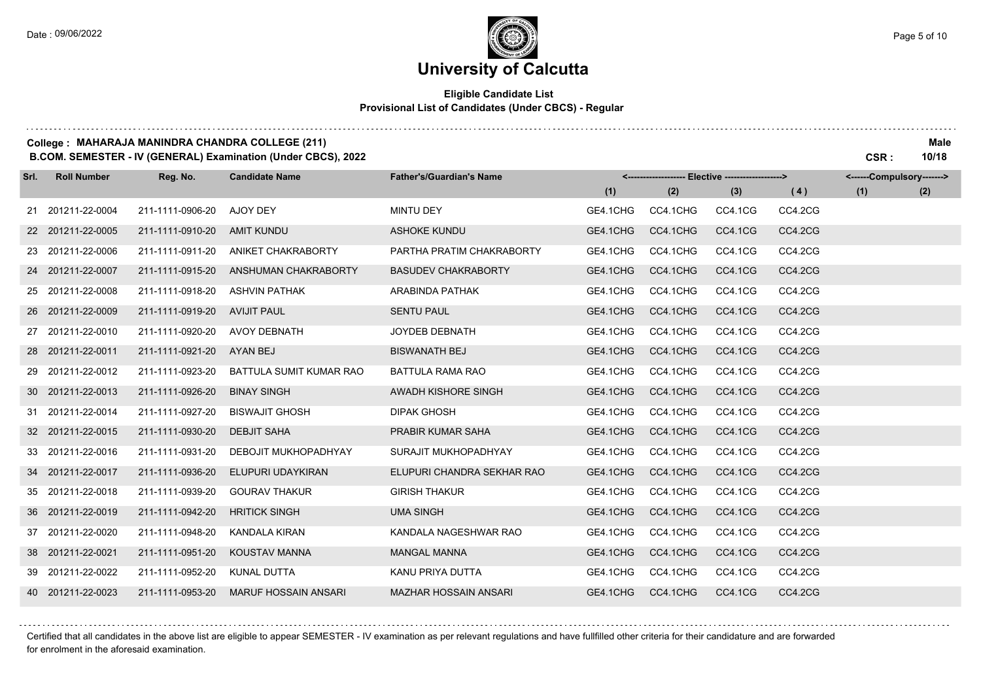#### **Eligible Candidate List Provisional List of Candidates (Under CBCS) - Regular**

#### **College : MAHARAJA MANINDRA CHANDRA COLLEGE (211) Male**

**B.COM. SEMESTER - IV (GENERAL) Examination (Under CBCS), 2022 CSR : 10/18**

| Srl. | <b>Roll Number</b> | Reg. No.         | <b>Candidate Name</b>       | <b>Father's/Guardian's Name</b> |          | <-------------------- Elective ------------------> |         |         | <------Compulsory-------> |     |
|------|--------------------|------------------|-----------------------------|---------------------------------|----------|----------------------------------------------------|---------|---------|---------------------------|-----|
|      |                    |                  |                             |                                 | (1)      | (2)                                                | (3)     | (4)     | (1)                       | (2) |
|      | 21 201211-22-0004  | 211-1111-0906-20 | AJOY DEY                    | <b>MINTU DEY</b>                | GE4.1CHG | CC4.1CHG                                           | CC4.1CG | CC4.2CG |                           |     |
|      | 22 201211-22-0005  | 211-1111-0910-20 | <b>AMIT KUNDU</b>           | <b>ASHOKE KUNDU</b>             | GE4.1CHG | CC4.1CHG                                           | CC4.1CG | CC4.2CG |                           |     |
|      | 23 201211-22-0006  | 211-1111-0911-20 | ANIKET CHAKRABORTY          | PARTHA PRATIM CHAKRABORTY       | GE4.1CHG | CC4.1CHG                                           | CC4.1CG | CC4.2CG |                           |     |
|      | 24 201211-22-0007  | 211-1111-0915-20 | ANSHUMAN CHAKRABORTY        | <b>BASUDEV CHAKRABORTY</b>      | GE4.1CHG | CC4.1CHG                                           | CC4.1CG | CC4.2CG |                           |     |
|      | 25 201211-22-0008  | 211-1111-0918-20 | <b>ASHVIN PATHAK</b>        | ARABINDA PATHAK                 | GE4.1CHG | CC4.1CHG                                           | CC4.1CG | CC4.2CG |                           |     |
|      | 26 201211-22-0009  | 211-1111-0919-20 | <b>AVIJIT PAUL</b>          | <b>SENTU PAUL</b>               | GE4.1CHG | CC4.1CHG                                           | CC4.1CG | CC4.2CG |                           |     |
|      | 27 201211-22-0010  | 211-1111-0920-20 | <b>AVOY DEBNATH</b>         | JOYDEB DEBNATH                  | GE4.1CHG | CC4.1CHG                                           | CC4.1CG | CC4.2CG |                           |     |
|      | 28 201211-22-0011  | 211-1111-0921-20 | AYAN BEJ                    | <b>BISWANATH BEJ</b>            | GE4.1CHG | CC4.1CHG                                           | CC4.1CG | CC4.2CG |                           |     |
|      | 29 201211-22-0012  | 211-1111-0923-20 | BATTULA SUMIT KUMAR RAO     | <b>BATTULA RAMA RAO</b>         | GE4.1CHG | CC4.1CHG                                           | CC4.1CG | CC4.2CG |                           |     |
|      | 30 201211-22-0013  | 211-1111-0926-20 | <b>BINAY SINGH</b>          | AWADH KISHORE SINGH             | GE4.1CHG | CC4.1CHG                                           | CC4.1CG | CC4.2CG |                           |     |
|      | 31 201211-22-0014  | 211-1111-0927-20 | <b>BISWAJIT GHOSH</b>       | <b>DIPAK GHOSH</b>              | GE4.1CHG | CC4.1CHG                                           | CC4.1CG | CC4.2CG |                           |     |
|      | 32 201211-22-0015  | 211-1111-0930-20 | <b>DEBJIT SAHA</b>          | PRABIR KUMAR SAHA               | GE4.1CHG | CC4.1CHG                                           | CC4.1CG | CC4.2CG |                           |     |
|      | 33 201211-22-0016  | 211-1111-0931-20 | DEBOJIT MUKHOPADHYAY        | SURAJIT MUKHOPADHYAY            | GE4.1CHG | CC4.1CHG                                           | CC4.1CG | CC4.2CG |                           |     |
|      | 34 201211-22-0017  | 211-1111-0936-20 | ELUPURI UDAYKIRAN           | ELUPURI CHANDRA SEKHAR RAO      | GE4.1CHG | CC4.1CHG                                           | CC4.1CG | CC4.2CG |                           |     |
|      | 35 201211-22-0018  | 211-1111-0939-20 | <b>GOURAV THAKUR</b>        | <b>GIRISH THAKUR</b>            | GE4.1CHG | CC4.1CHG                                           | CC4.1CG | CC4.2CG |                           |     |
|      | 36 201211-22-0019  | 211-1111-0942-20 | <b>HRITICK SINGH</b>        | <b>UMA SINGH</b>                | GE4.1CHG | CC4.1CHG                                           | CC4.1CG | CC4.2CG |                           |     |
|      | 37 201211-22-0020  | 211-1111-0948-20 | <b>KANDALA KIRAN</b>        | KANDALA NAGESHWAR RAO           | GE4.1CHG | CC4.1CHG                                           | CC4.1CG | CC4.2CG |                           |     |
|      | 38 201211-22-0021  | 211-1111-0951-20 | KOUSTAV MANNA               | <b>MANGAL MANNA</b>             | GE4.1CHG | CC4.1CHG                                           | CC4.1CG | CC4.2CG |                           |     |
|      | 39 201211-22-0022  | 211-1111-0952-20 | KUNAL DUTTA                 | KANU PRIYA DUTTA                | GE4.1CHG | CC4.1CHG                                           | CC4.1CG | CC4.2CG |                           |     |
|      | 40 201211-22-0023  | 211-1111-0953-20 | <b>MARUF HOSSAIN ANSARI</b> | <b>MAZHAR HOSSAIN ANSARI</b>    | GE4.1CHG | CC4.1CHG                                           | CC4.1CG | CC4.2CG |                           |     |

Certified that all candidates in the above list are eligible to appear SEMESTER - IV examination as per relevant regulations and have fullfilled other criteria for their candidature and are forwarded for enrolment in the aforesaid examination.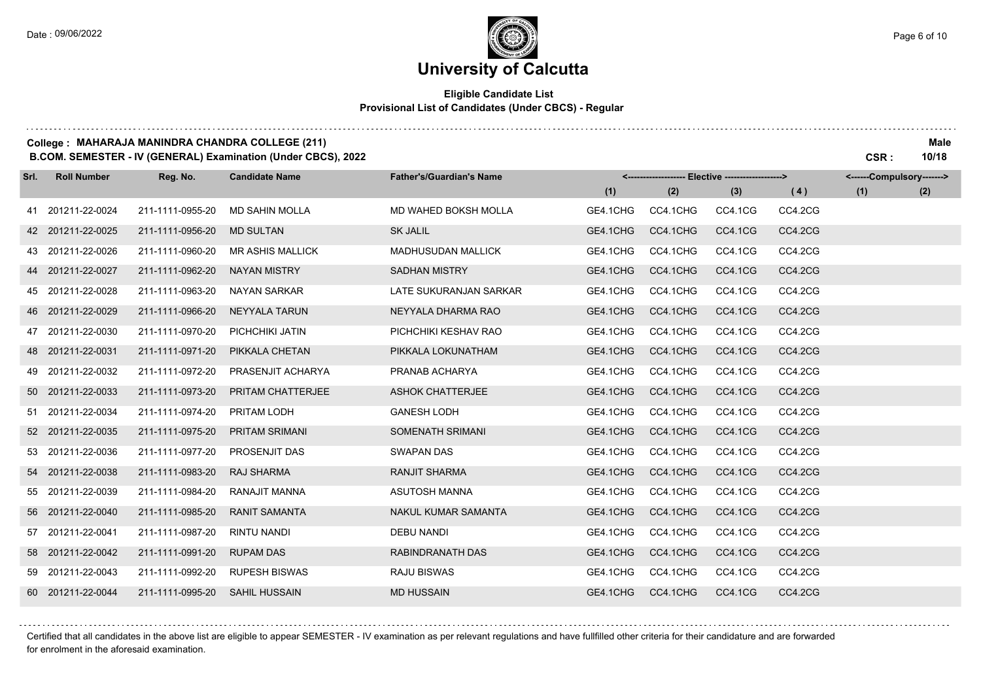. . . . . . . .

### **University of Calcutta**

### **Eligible Candidate List Provisional List of Candidates (Under CBCS) - Regular**

#### **College : MAHARAJA MANINDRA CHANDRA COLLEGE (211) Male**

**B.COM. SEMESTER - IV (GENERAL) Examination (Under CBCS), 2022 CSR : 10/18**

| Srl. | <b>Roll Number</b> | Reg. No.         | <b>Candidate Name</b>   | <b>Father's/Guardian's Name</b> |          | <------------------- Elective ------------------> |                |         | <------Compulsory-------> |     |
|------|--------------------|------------------|-------------------------|---------------------------------|----------|---------------------------------------------------|----------------|---------|---------------------------|-----|
|      |                    |                  |                         |                                 | (1)      | (2)                                               | (3)            | (4)     | (1)                       | (2) |
|      | 41 201211-22-0024  | 211-1111-0955-20 | <b>MD SAHIN MOLLA</b>   | MD WAHED BOKSH MOLLA            | GE4.1CHG | CC4.1CHG                                          | CC4.1CG        | CC4.2CG |                           |     |
|      | 42 201211-22-0025  | 211-1111-0956-20 | <b>MD SULTAN</b>        | <b>SK JALIL</b>                 | GE4.1CHG | CC4.1CHG                                          | CC4.1CG        | CC4.2CG |                           |     |
|      | 43 201211-22-0026  | 211-1111-0960-20 | <b>MR ASHIS MALLICK</b> | <b>MADHUSUDAN MALLICK</b>       | GE4.1CHG | CC4.1CHG                                          | CC4.1CG        | CC4.2CG |                           |     |
|      | 44 201211-22-0027  | 211-1111-0962-20 | <b>NAYAN MISTRY</b>     | <b>SADHAN MISTRY</b>            | GE4.1CHG | CC4.1CHG                                          | CC4.1CG        | CC4.2CG |                           |     |
|      | 45 201211-22-0028  | 211-1111-0963-20 | NAYAN SARKAR            | LATE SUKURANJAN SARKAR          | GE4.1CHG | CC4.1CHG                                          | CC4.1CG        | CC4.2CG |                           |     |
|      | 46 201211-22-0029  | 211-1111-0966-20 | NEYYALA TARUN           | NEYYALA DHARMA RAO              | GE4.1CHG | CC4.1CHG                                          | CC4.1CG        | CC4.2CG |                           |     |
|      | 47 201211-22-0030  | 211-1111-0970-20 | PICHCHIKI JATIN         | PICHCHIKI KESHAV RAO            | GE4.1CHG | CC4.1CHG                                          | CC4.1CG        | CC4.2CG |                           |     |
|      | 48 201211-22-0031  | 211-1111-0971-20 | PIKKALA CHETAN          | PIKKALA LOKUNATHAM              | GE4.1CHG | CC4.1CHG                                          | CC4.1CG        | CC4.2CG |                           |     |
|      | 49 201211-22-0032  | 211-1111-0972-20 | PRASENJIT ACHARYA       | PRANAB ACHARYA                  | GE4.1CHG | CC4.1CHG                                          | CC4.1CG        | CC4.2CG |                           |     |
|      | 50 201211-22-0033  | 211-1111-0973-20 | PRITAM CHATTERJEE       | <b>ASHOK CHATTERJEE</b>         | GE4.1CHG | CC4.1CHG                                          | CC4.1CG        | CC4.2CG |                           |     |
|      | 51 201211-22-0034  | 211-1111-0974-20 | PRITAM LODH             | <b>GANESH LODH</b>              | GE4.1CHG | CC4.1CHG                                          | CC4.1CG        | CC4.2CG |                           |     |
|      | 52 201211-22-0035  | 211-1111-0975-20 | <b>PRITAM SRIMANI</b>   | SOMENATH SRIMANI                | GE4.1CHG | CC4.1CHG                                          | CC4.1CG        | CC4.2CG |                           |     |
|      | 53 201211-22-0036  | 211-1111-0977-20 | <b>PROSENJIT DAS</b>    | <b>SWAPAN DAS</b>               | GE4.1CHG | CC4.1CHG                                          | CC4.1CG        | CC4.2CG |                           |     |
|      | 54 201211-22-0038  | 211-1111-0983-20 | <b>RAJ SHARMA</b>       | <b>RANJIT SHARMA</b>            | GE4.1CHG | CC4.1CHG                                          | CC4.1CG        | CC4.2CG |                           |     |
|      | 55 201211-22-0039  | 211-1111-0984-20 | RANAJIT MANNA           | <b>ASUTOSH MANNA</b>            | GE4.1CHG | CC4.1CHG                                          | CC4.1CG        | CC4.2CG |                           |     |
|      | 56 201211-22-0040  | 211-1111-0985-20 | <b>RANIT SAMANTA</b>    | NAKUL KUMAR SAMANTA             | GE4.1CHG | CC4.1CHG                                          | <b>CC4.1CG</b> | CC4.2CG |                           |     |
|      | 57 201211-22-0041  | 211-1111-0987-20 | RINTU NANDI             | <b>DEBU NANDI</b>               | GE4.1CHG | CC4.1CHG                                          | CC4.1CG        | CC4.2CG |                           |     |
|      | 58 201211-22-0042  | 211-1111-0991-20 | <b>RUPAM DAS</b>        | RABINDRANATH DAS                | GE4.1CHG | CC4.1CHG                                          | CC4.1CG        | CC4.2CG |                           |     |
|      | 59 201211-22-0043  | 211-1111-0992-20 | <b>RUPESH BISWAS</b>    | <b>RAJU BISWAS</b>              | GE4.1CHG | CC4.1CHG                                          | CC4.1CG        | CC4.2CG |                           |     |
|      | 60 201211-22-0044  | 211-1111-0995-20 | <b>SAHIL HUSSAIN</b>    | <b>MD HUSSAIN</b>               | GE4.1CHG | CC4.1CHG                                          | CC4.1CG        | CC4.2CG |                           |     |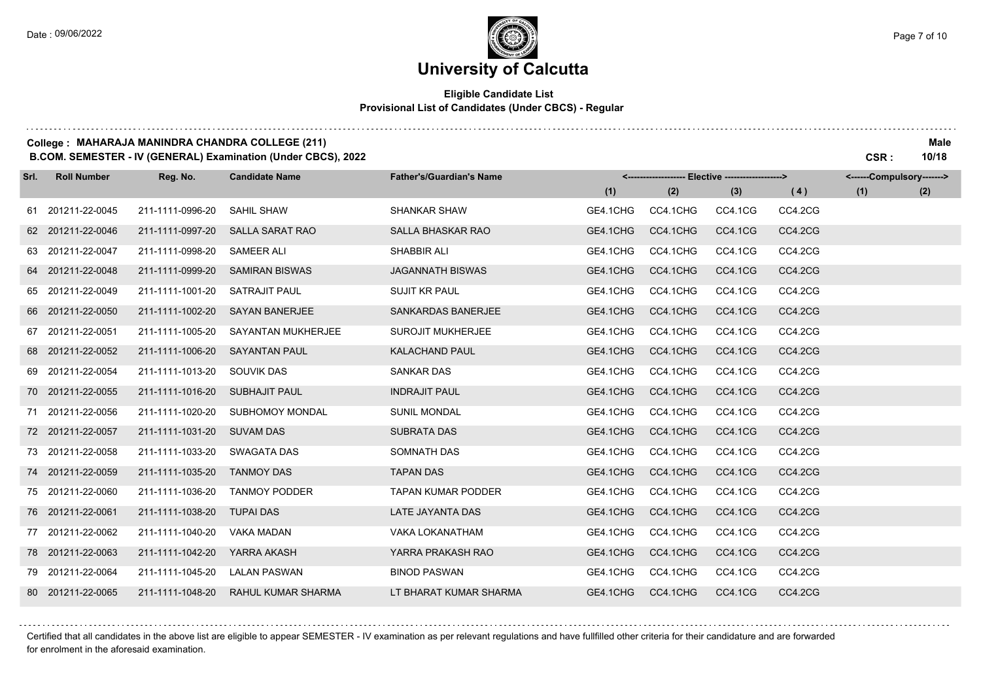### **Eligible Candidate List Provisional List of Candidates (Under CBCS) - Regular**

#### **College : MAHARAJA MANINDRA CHANDRA COLLEGE (211) Male**

**B.COM. SEMESTER - IV (GENERAL) Examination (Under CBCS), 2022 CSR : 10/18**

| Srl. | <b>Roll Number</b> | Reg. No.         | <b>Candidate Name</b>     | <b>Father's/Guardian's Name</b> |          | <-------------------- Elective ------------------> |         |         | <------Compulsory-------> |     |
|------|--------------------|------------------|---------------------------|---------------------------------|----------|----------------------------------------------------|---------|---------|---------------------------|-----|
|      |                    |                  |                           |                                 | (1)      | (2)                                                | (3)     | (4)     | (1)                       | (2) |
|      | 61 201211-22-0045  | 211-1111-0996-20 | SAHIL SHAW                | <b>SHANKAR SHAW</b>             | GE4.1CHG | CC4.1CHG                                           | CC4.1CG | CC4.2CG |                           |     |
|      | 62 201211-22-0046  | 211-1111-0997-20 | <b>SALLA SARAT RAO</b>    | SALLA BHASKAR RAO               | GE4.1CHG | CC4.1CHG                                           | CC4.1CG | CC4.2CG |                           |     |
|      | 63 201211-22-0047  | 211-1111-0998-20 | <b>SAMEER ALI</b>         | SHABBIR ALI                     | GE4.1CHG | CC4.1CHG                                           | CC4.1CG | CC4.2CG |                           |     |
|      | 64 201211-22-0048  | 211-1111-0999-20 | <b>SAMIRAN BISWAS</b>     | <b>JAGANNATH BISWAS</b>         | GE4.1CHG | CC4.1CHG                                           | CC4.1CG | CC4.2CG |                           |     |
|      | 65 201211-22-0049  | 211-1111-1001-20 | <b>SATRAJIT PAUL</b>      | <b>SUJIT KR PAUL</b>            | GE4.1CHG | CC4.1CHG                                           | CC4.1CG | CC4.2CG |                           |     |
|      | 66 201211-22-0050  | 211-1111-1002-20 | <b>SAYAN BANERJEE</b>     | <b>SANKARDAS BANERJEE</b>       | GE4.1CHG | CC4.1CHG                                           | CC4.1CG | CC4.2CG |                           |     |
|      | 67 201211-22-0051  | 211-1111-1005-20 | <b>SAYANTAN MUKHERJEE</b> | <b>SUROJIT MUKHERJEE</b>        | GE4.1CHG | CC4.1CHG                                           | CC4.1CG | CC4.2CG |                           |     |
|      | 68 201211-22-0052  | 211-1111-1006-20 | <b>SAYANTAN PAUL</b>      | <b>KALACHAND PAUL</b>           | GE4.1CHG | CC4.1CHG                                           | CC4.1CG | CC4.2CG |                           |     |
|      | 69 201211-22-0054  | 211-1111-1013-20 | <b>SOUVIK DAS</b>         | <b>SANKAR DAS</b>               | GE4.1CHG | CC4.1CHG                                           | CC4.1CG | CC4.2CG |                           |     |
|      | 70 201211-22-0055  | 211-1111-1016-20 | <b>SUBHAJIT PAUL</b>      | <b>INDRAJIT PAUL</b>            | GE4.1CHG | CC4.1CHG                                           | CC4.1CG | CC4.2CG |                           |     |
|      | 71 201211-22-0056  | 211-1111-1020-20 | <b>SUBHOMOY MONDAL</b>    | <b>SUNIL MONDAL</b>             | GE4.1CHG | CC4.1CHG                                           | CC4.1CG | CC4.2CG |                           |     |
|      | 72 201211-22-0057  | 211-1111-1031-20 | <b>SUVAM DAS</b>          | <b>SUBRATA DAS</b>              | GE4.1CHG | CC4.1CHG                                           | CC4.1CG | CC4.2CG |                           |     |
|      | 73 201211-22-0058  | 211-1111-1033-20 | SWAGATA DAS               | SOMNATH DAS                     | GE4.1CHG | CC4.1CHG                                           | CC4.1CG | CC4.2CG |                           |     |
|      | 74 201211-22-0059  | 211-1111-1035-20 | <b>TANMOY DAS</b>         | <b>TAPAN DAS</b>                | GE4.1CHG | CC4.1CHG                                           | CC4.1CG | CC4.2CG |                           |     |
|      | 75 201211-22-0060  | 211-1111-1036-20 | <b>TANMOY PODDER</b>      | <b>TAPAN KUMAR PODDER</b>       | GE4.1CHG | CC4.1CHG                                           | CC4.1CG | CC4.2CG |                           |     |
|      | 76 201211-22-0061  | 211-1111-1038-20 | <b>TUPAI DAS</b>          | LATE JAYANTA DAS                | GE4.1CHG | CC4.1CHG                                           | CC4.1CG | CC4.2CG |                           |     |
|      | 77 201211-22-0062  | 211-1111-1040-20 | <b>VAKA MADAN</b>         | <b>VAKA LOKANATHAM</b>          | GE4.1CHG | CC4.1CHG                                           | CC4.1CG | CC4.2CG |                           |     |
|      | 78 201211-22-0063  | 211-1111-1042-20 | YARRA AKASH               | YARRA PRAKASH RAO               | GE4.1CHG | CC4.1CHG                                           | CC4.1CG | CC4.2CG |                           |     |
|      | 79 201211-22-0064  | 211-1111-1045-20 | <b>LALAN PASWAN</b>       | <b>BINOD PASWAN</b>             | GE4.1CHG | CC4.1CHG                                           | CC4.1CG | CC4.2CG |                           |     |
|      | 80 201211-22-0065  | 211-1111-1048-20 | <b>RAHUL KUMAR SHARMA</b> | LT BHARAT KUMAR SHARMA          | GE4.1CHG | CC4.1CHG                                           | CC4.1CG | CC4.2CG |                           |     |

Certified that all candidates in the above list are eligible to appear SEMESTER - IV examination as per relevant regulations and have fullfilled other criteria for their candidature and are forwarded for enrolment in the aforesaid examination.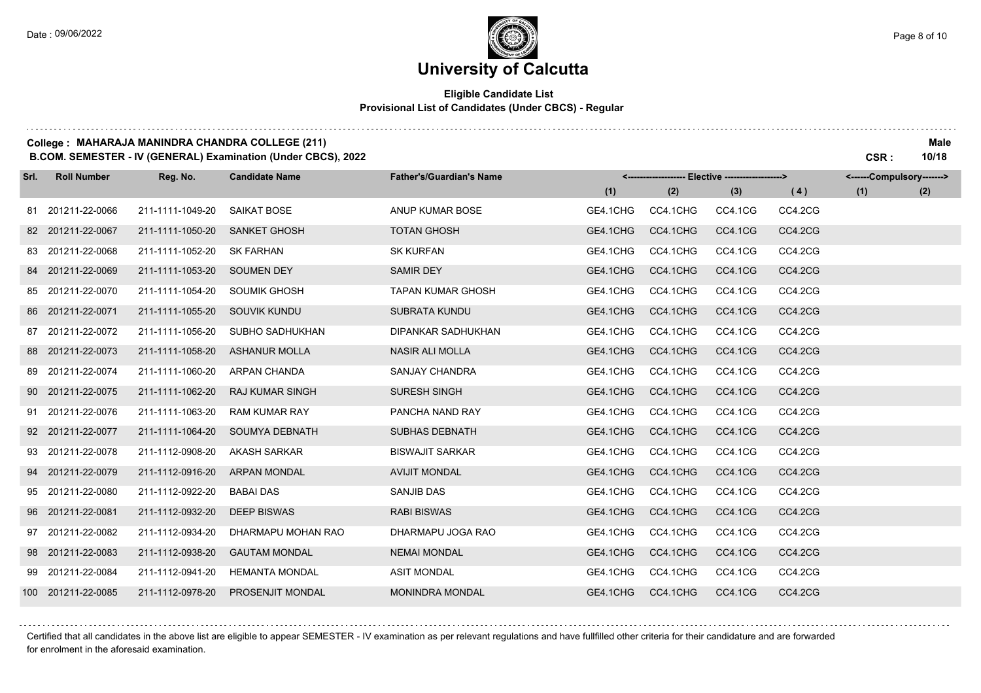. . . . . . . .

### **University of Calcutta**

### **Eligible Candidate List Provisional List of Candidates (Under CBCS) - Regular**

#### **College : MAHARAJA MANINDRA CHANDRA COLLEGE (211) Male**

**B.COM. SEMESTER - IV (GENERAL) Examination (Under CBCS), 2022 CSR : 10/18**

| Srl. | <b>Roll Number</b> | Reg. No.         | <b>Candidate Name</b>  | <b>Father's/Guardian's Name</b> |          | <------------------- Elective ------------------> |         |         | <------Compulsory-------> |     |
|------|--------------------|------------------|------------------------|---------------------------------|----------|---------------------------------------------------|---------|---------|---------------------------|-----|
|      |                    |                  |                        |                                 | (1)      | (2)                                               | (3)     | (4)     | (1)                       | (2) |
|      | 81 201211-22-0066  | 211-1111-1049-20 | <b>SAIKAT BOSE</b>     | ANUP KUMAR BOSE                 | GE4.1CHG | CC4.1CHG                                          | CC4.1CG | CC4.2CG |                           |     |
|      | 82 201211-22-0067  | 211-1111-1050-20 | <b>SANKET GHOSH</b>    | <b>TOTAN GHOSH</b>              | GE4.1CHG | CC4.1CHG                                          | CC4.1CG | CC4.2CG |                           |     |
|      | 83 201211-22-0068  | 211-1111-1052-20 | <b>SK FARHAN</b>       | <b>SK KURFAN</b>                | GE4.1CHG | CC4.1CHG                                          | CC4.1CG | CC4.2CG |                           |     |
|      | 84 201211-22-0069  | 211-1111-1053-20 | <b>SOUMEN DEY</b>      | <b>SAMIR DEY</b>                | GE4.1CHG | CC4.1CHG                                          | CC4.1CG | CC4.2CG |                           |     |
|      | 85 201211-22-0070  | 211-1111-1054-20 | <b>SOUMIK GHOSH</b>    | <b>TAPAN KUMAR GHOSH</b>        | GE4.1CHG | CC4.1CHG                                          | CC4.1CG | CC4.2CG |                           |     |
|      | 86 201211-22-0071  | 211-1111-1055-20 | <b>SOUVIK KUNDU</b>    | <b>SUBRATA KUNDU</b>            | GE4.1CHG | CC4.1CHG                                          | CC4.1CG | CC4.2CG |                           |     |
|      | 87 201211-22-0072  | 211-1111-1056-20 | SUBHO SADHUKHAN        | DIPANKAR SADHUKHAN              | GE4.1CHG | CC4.1CHG                                          | CC4.1CG | CC4.2CG |                           |     |
|      | 88 201211-22-0073  | 211-1111-1058-20 | <b>ASHANUR MOLLA</b>   | <b>NASIR ALI MOLLA</b>          | GE4.1CHG | CC4.1CHG                                          | CC4.1CG | CC4.2CG |                           |     |
|      | 89 201211-22-0074  | 211-1111-1060-20 | ARPAN CHANDA           | SANJAY CHANDRA                  | GE4.1CHG | CC4.1CHG                                          | CC4.1CG | CC4.2CG |                           |     |
|      | 90 201211-22-0075  | 211-1111-1062-20 | <b>RAJ KUMAR SINGH</b> | <b>SURESH SINGH</b>             | GE4.1CHG | CC4.1CHG                                          | CC4.1CG | CC4.2CG |                           |     |
|      | 91 201211-22-0076  | 211-1111-1063-20 | <b>RAM KUMAR RAY</b>   | PANCHA NAND RAY                 | GE4.1CHG | CC4.1CHG                                          | CC4.1CG | CC4.2CG |                           |     |
|      | 92 201211-22-0077  | 211-1111-1064-20 | <b>SOUMYA DEBNATH</b>  | <b>SUBHAS DEBNATH</b>           | GE4.1CHG | CC4.1CHG                                          | CC4.1CG | CC4.2CG |                           |     |
|      | 93 201211-22-0078  | 211-1112-0908-20 | <b>AKASH SARKAR</b>    | <b>BISWAJIT SARKAR</b>          | GE4.1CHG | CC4.1CHG                                          | CC4.1CG | CC4.2CG |                           |     |
|      | 94 201211-22-0079  | 211-1112-0916-20 | <b>ARPAN MONDAL</b>    | <b>AVIJIT MONDAL</b>            | GE4.1CHG | CC4.1CHG                                          | CC4.1CG | CC4.2CG |                           |     |
|      | 95 201211-22-0080  | 211-1112-0922-20 | <b>BABAI DAS</b>       | <b>SANJIB DAS</b>               | GE4.1CHG | CC4.1CHG                                          | CC4.1CG | CC4.2CG |                           |     |
|      | 96 201211-22-0081  | 211-1112-0932-20 | <b>DEEP BISWAS</b>     | <b>RABI BISWAS</b>              | GE4.1CHG | CC4.1CHG                                          | CC4.1CG | CC4.2CG |                           |     |
|      | 97 201211-22-0082  | 211-1112-0934-20 | DHARMAPU MOHAN RAO     | DHARMAPU JOGA RAO               | GE4.1CHG | CC4.1CHG                                          | CC4.1CG | CC4.2CG |                           |     |
|      | 98 201211-22-0083  | 211-1112-0938-20 | <b>GAUTAM MONDAL</b>   | <b>NEMAI MONDAL</b>             | GE4.1CHG | CC4.1CHG                                          | CC4.1CG | CC4.2CG |                           |     |
|      | 99 201211-22-0084  | 211-1112-0941-20 | <b>HEMANTA MONDAL</b>  | <b>ASIT MONDAL</b>              | GE4.1CHG | CC4.1CHG                                          | CC4.1CG | CC4.2CG |                           |     |
|      | 100 201211-22-0085 | 211-1112-0978-20 | PROSENJIT MONDAL       | <b>MONINDRA MONDAL</b>          | GE4.1CHG | CC4.1CHG                                          | CC4.1CG | CC4.2CG |                           |     |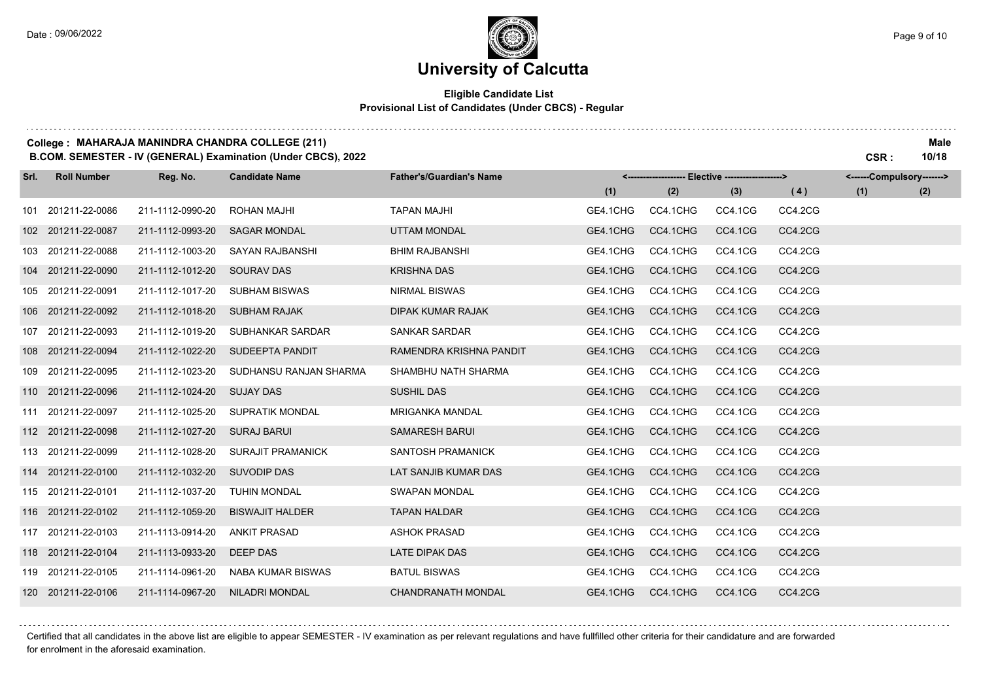### **Eligible Candidate List Provisional List of Candidates (Under CBCS) - Regular**

#### **College : MAHARAJA MANINDRA CHANDRA COLLEGE (211) Male**

**B.COM. SEMESTER - IV (GENERAL) Examination (Under CBCS), 2022 CSR : 10/18**

| Srl. | <b>Roll Number</b> | Reg. No.         | <b>Candidate Name</b>    | <b>Father's/Guardian's Name</b> |          | <------------------- Elective ------------------> |         |         | <------Compulsory-------> |     |
|------|--------------------|------------------|--------------------------|---------------------------------|----------|---------------------------------------------------|---------|---------|---------------------------|-----|
|      |                    |                  |                          |                                 | (1)      | (2)                                               | (3)     | (4)     | (1)                       | (2) |
|      | 101 201211-22-0086 | 211-1112-0990-20 | <b>ROHAN MAJHI</b>       | <b>TAPAN MAJHI</b>              | GE4.1CHG | CC4.1CHG                                          | CC4.1CG | CC4.2CG |                           |     |
|      | 102 201211-22-0087 | 211-1112-0993-20 | <b>SAGAR MONDAL</b>      | <b>UTTAM MONDAL</b>             | GE4.1CHG | CC4.1CHG                                          | CC4.1CG | CC4.2CG |                           |     |
|      | 103 201211-22-0088 | 211-1112-1003-20 | SAYAN RAJBANSHI          | <b>BHIM RAJBANSHI</b>           | GE4.1CHG | CC4.1CHG                                          | CC4.1CG | CC4.2CG |                           |     |
|      | 104 201211-22-0090 | 211-1112-1012-20 | <b>SOURAV DAS</b>        | <b>KRISHNA DAS</b>              | GE4.1CHG | CC4.1CHG                                          | CC4.1CG | CC4.2CG |                           |     |
|      | 105 201211-22-0091 | 211-1112-1017-20 | <b>SUBHAM BISWAS</b>     | <b>NIRMAL BISWAS</b>            | GE4.1CHG | CC4.1CHG                                          | CC4.1CG | CC4.2CG |                           |     |
|      | 106 201211-22-0092 | 211-1112-1018-20 | <b>SUBHAM RAJAK</b>      | <b>DIPAK KUMAR RAJAK</b>        | GE4.1CHG | CC4.1CHG                                          | CC4.1CG | CC4.2CG |                           |     |
|      | 107 201211-22-0093 | 211-1112-1019-20 | SUBHANKAR SARDAR         | SANKAR SARDAR                   | GE4.1CHG | CC4.1CHG                                          | CC4.1CG | CC4.2CG |                           |     |
|      | 108 201211-22-0094 | 211-1112-1022-20 | SUDEEPTA PANDIT          | RAMENDRA KRISHNA PANDIT         | GE4.1CHG | CC4.1CHG                                          | CC4.1CG | CC4.2CG |                           |     |
|      | 109 201211-22-0095 | 211-1112-1023-20 | SUDHANSU RANJAN SHARMA   | SHAMBHU NATH SHARMA             | GE4.1CHG | CC4.1CHG                                          | CC4.1CG | CC4.2CG |                           |     |
|      | 110 201211-22-0096 | 211-1112-1024-20 | <b>SUJAY DAS</b>         | <b>SUSHIL DAS</b>               | GE4.1CHG | CC4.1CHG                                          | CC4.1CG | CC4.2CG |                           |     |
|      | 111 201211-22-0097 | 211-1112-1025-20 | <b>SUPRATIK MONDAL</b>   | <b>MRIGANKA MANDAL</b>          | GE4.1CHG | CC4.1CHG                                          | CC4.1CG | CC4.2CG |                           |     |
|      | 112 201211-22-0098 | 211-1112-1027-20 | SURAJ BARUI              | <b>SAMARESH BARUI</b>           | GE4.1CHG | CC4.1CHG                                          | CC4.1CG | CC4.2CG |                           |     |
|      | 113 201211-22-0099 | 211-1112-1028-20 | <b>SURAJIT PRAMANICK</b> | SANTOSH PRAMANICK               | GE4.1CHG | CC4.1CHG                                          | CC4.1CG | CC4.2CG |                           |     |
|      | 114 201211-22-0100 | 211-1112-1032-20 | <b>SUVODIP DAS</b>       | LAT SANJIB KUMAR DAS            | GE4.1CHG | CC4.1CHG                                          | CC4.1CG | CC4.2CG |                           |     |
|      | 115 201211-22-0101 | 211-1112-1037-20 | TUHIN MONDAL             | <b>SWAPAN MONDAL</b>            | GE4.1CHG | CC4.1CHG                                          | CC4.1CG | CC4.2CG |                           |     |
|      | 116 201211-22-0102 | 211-1112-1059-20 | <b>BISWAJIT HALDER</b>   | <b>TAPAN HALDAR</b>             | GE4.1CHG | CC4.1CHG                                          | CC4.1CG | CC4.2CG |                           |     |
|      | 117 201211-22-0103 | 211-1113-0914-20 | <b>ANKIT PRASAD</b>      | <b>ASHOK PRASAD</b>             | GE4.1CHG | CC4.1CHG                                          | CC4.1CG | CC4.2CG |                           |     |
|      | 118 201211-22-0104 | 211-1113-0933-20 | DEEP DAS                 | LATE DIPAK DAS                  | GE4.1CHG | CC4.1CHG                                          | CC4.1CG | CC4.2CG |                           |     |
|      | 119 201211-22-0105 | 211-1114-0961-20 | NABA KUMAR BISWAS        | <b>BATUL BISWAS</b>             | GE4.1CHG | CC4.1CHG                                          | CC4.1CG | CC4.2CG |                           |     |
|      | 120 201211-22-0106 | 211-1114-0967-20 | <b>NILADRI MONDAL</b>    | <b>CHANDRANATH MONDAL</b>       | GE4.1CHG | CC4.1CHG                                          | CC4.1CG | CC4.2CG |                           |     |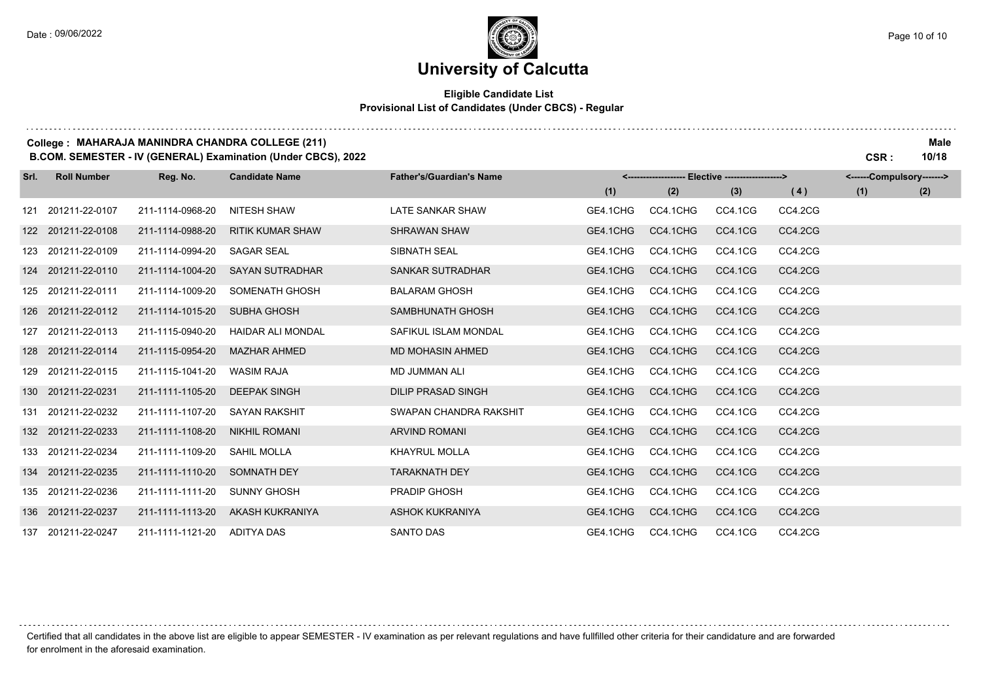. . . . . . .

### **University of Calcutta**

### **Eligible Candidate List Provisional List of Candidates (Under CBCS) - Regular**

#### **College : MAHARAJA MANINDRA CHANDRA COLLEGE (211) Male**

**B.COM. SEMESTER - IV (GENERAL) Examination (Under CBCS), 2022 CSR : 10/18**

| Srl. | <b>Roll Number</b> | Reg. No.         | <b>Candidate Name</b>    | <b>Father's/Guardian's Name</b> | <-------------------- Elective -------------------><br>(1)<br>(2)<br>(3) |          |         |         | <------Compulsory-------> |     |
|------|--------------------|------------------|--------------------------|---------------------------------|--------------------------------------------------------------------------|----------|---------|---------|---------------------------|-----|
|      |                    |                  |                          |                                 |                                                                          |          |         | (4)     | (1)                       | (2) |
| 121  | 201211-22-0107     | 211-1114-0968-20 | NITESH SHAW              | LATE SANKAR SHAW                | GE4.1CHG                                                                 | CC4.1CHG | CC4.1CG | CC4.2CG |                           |     |
|      | 122 201211-22-0108 | 211-1114-0988-20 | <b>RITIK KUMAR SHAW</b>  | <b>SHRAWAN SHAW</b>             | GE4.1CHG                                                                 | CC4.1CHG | CC4.1CG | CC4.2CG |                           |     |
|      | 123 201211-22-0109 | 211-1114-0994-20 | <b>SAGAR SEAL</b>        | SIBNATH SEAL                    | GE4.1CHG                                                                 | CC4.1CHG | CC4.1CG | CC4.2CG |                           |     |
|      | 124 201211-22-0110 | 211-1114-1004-20 | <b>SAYAN SUTRADHAR</b>   | SANKAR SUTRADHAR                | GE4.1CHG                                                                 | CC4.1CHG | CC4.1CG | CC4.2CG |                           |     |
|      | 125 201211-22-0111 | 211-1114-1009-20 | SOMENATH GHOSH           | <b>BALARAM GHOSH</b>            | GE4.1CHG                                                                 | CC4.1CHG | CC4.1CG | CC4.2CG |                           |     |
| 126  | 201211-22-0112     | 211-1114-1015-20 | <b>SUBHA GHOSH</b>       | SAMBHUNATH GHOSH                | GE4.1CHG                                                                 | CC4.1CHG | CC4.1CG | CC4.2CG |                           |     |
| 127  | 201211-22-0113     | 211-1115-0940-20 | <b>HAIDAR ALI MONDAL</b> | SAFIKUL ISLAM MONDAL            | GE4.1CHG                                                                 | CC4.1CHG | CC4.1CG | CC4.2CG |                           |     |
| 128  | 201211-22-0114     | 211-1115-0954-20 | <b>MAZHAR AHMED</b>      | <b>MD MOHASIN AHMED</b>         | GE4.1CHG                                                                 | CC4.1CHG | CC4.1CG | CC4.2CG |                           |     |
|      | 129 201211-22-0115 | 211-1115-1041-20 | <b>WASIM RAJA</b>        | <b>MD JUMMAN ALI</b>            | GE4.1CHG                                                                 | CC4.1CHG | CC4.1CG | CC4.2CG |                           |     |
|      | 130 201211-22-0231 | 211-1111-1105-20 | <b>DEEPAK SINGH</b>      | <b>DILIP PRASAD SINGH</b>       | GE4.1CHG                                                                 | CC4.1CHG | CC4.1CG | CC4.2CG |                           |     |
|      | 131 201211-22-0232 | 211-1111-1107-20 | <b>SAYAN RAKSHIT</b>     | SWAPAN CHANDRA RAKSHIT          | GE4.1CHG                                                                 | CC4.1CHG | CC4.1CG | CC4.2CG |                           |     |
|      | 132 201211-22-0233 | 211-1111-1108-20 | <b>NIKHIL ROMANI</b>     | <b>ARVIND ROMANI</b>            | GE4.1CHG                                                                 | CC4.1CHG | CC4.1CG | CC4.2CG |                           |     |
|      | 133 201211-22-0234 | 211-1111-1109-20 | <b>SAHIL MOLLA</b>       | <b>KHAYRUL MOLLA</b>            | GE4.1CHG                                                                 | CC4.1CHG | CC4.1CG | CC4.2CG |                           |     |
|      | 134 201211-22-0235 | 211-1111-1110-20 | SOMNATH DEY              | <b>TARAKNATH DEY</b>            | GE4.1CHG                                                                 | CC4.1CHG | CC4.1CG | CC4.2CG |                           |     |
|      | 135 201211-22-0236 | 211-1111-1111-20 | <b>SUNNY GHOSH</b>       | <b>PRADIP GHOSH</b>             | GE4.1CHG                                                                 | CC4.1CHG | CC4.1CG | CC4.2CG |                           |     |
|      | 136 201211-22-0237 | 211-1111-1113-20 | AKASH KUKRANIYA          | <b>ASHOK KUKRANIYA</b>          | GE4.1CHG                                                                 | CC4.1CHG | CC4.1CG | CC4.2CG |                           |     |
|      | 137 201211-22-0247 | 211-1111-1121-20 | <b>ADITYA DAS</b>        | <b>SANTO DAS</b>                | GE4.1CHG                                                                 | CC4.1CHG | CC4.1CG | CC4.2CG |                           |     |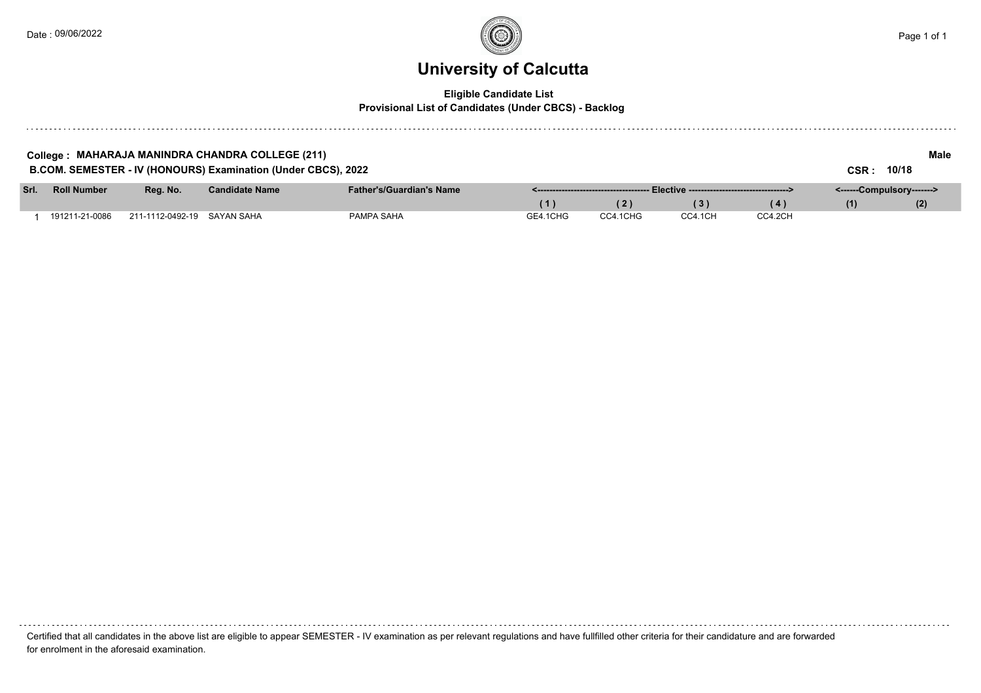### **University of Calcutta**

### **Eligible Candidate List**

**Provisional List of Candidates (Under CBCS) - Backlog**

| College : MAHARAJA MANINDRA CHANDRA COLLEGE (211)<br>B.COM. SEMESTER - IV (HONOURS) Examination (Under CBCS), 2022 |                    |                  |                       |                                 |          |          |         |         | <b>CSR :</b>              | Male<br>10/18 |
|--------------------------------------------------------------------------------------------------------------------|--------------------|------------------|-----------------------|---------------------------------|----------|----------|---------|---------|---------------------------|---------------|
| Srl.                                                                                                               | <b>Roll Number</b> | Rea. No.         | <b>Candidate Name</b> | <b>Father's/Guardian's Name</b> |          |          |         |         | <------Compulsory-------> |               |
|                                                                                                                    |                    |                  |                       |                                 | (1)      | 2        | (3)     | (4)     | (1)                       | (2)           |
|                                                                                                                    | 191211-21-0086     | 211-1112-0492-19 | SAYAN SAHA            | PAMPA SAHA                      | GE4.1CHG | CC4.1CHG | CC4.1CH | CC4.2CH |                           |               |

Certified that all candidates in the above list are eligible to appear SEMESTER - IV examination as per relevant regulations and have fullfilled other criteria for their candidature and are forwarded for enrolment in the aforesaid examination.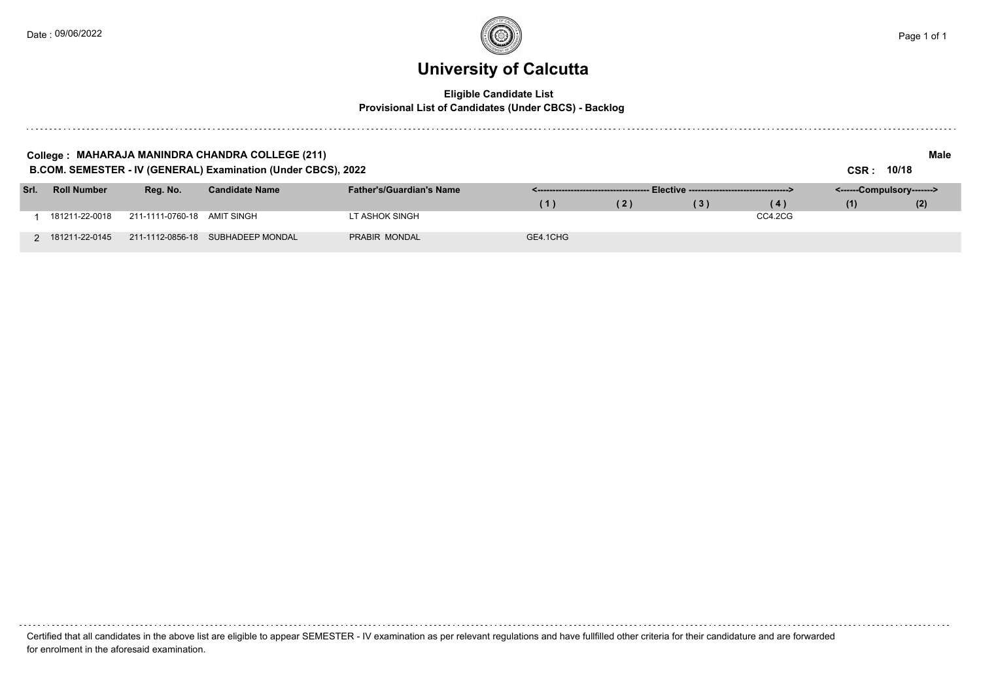#### **Eligible Candidate List Provisional List of Candidates (Under CBCS) - Backlog**

|      |                    |                             | College : MAHARAJA MANINDRA CHANDRA COLLEGE (211)<br>B.COM. SEMESTER - IV (GENERAL) Examination (Under CBCS), 2022 |                                 |          |               |     |         | 10/18<br>CSR :            | Male |
|------|--------------------|-----------------------------|--------------------------------------------------------------------------------------------------------------------|---------------------------------|----------|---------------|-----|---------|---------------------------|------|
| Srl. | <b>Roll Number</b> | Reg. No.                    | <b>Candidate Name</b>                                                                                              | <b>Father's/Guardian's Name</b> |          | Elective ---- |     |         | <------Compulsory-------> |      |
|      |                    |                             |                                                                                                                    |                                 | (1)      | (2)           | (3) | (4)     | (1)                       | (2)  |
|      | 181211-22-0018     | 211-1111-0760-18 AMIT SINGH |                                                                                                                    | LT ASHOK SINGH                  |          |               |     | CC4.2CG |                           |      |
|      | 181211-22-0145     |                             | 211-1112-0856-18 SUBHADEEP MONDAL                                                                                  | PRABIR MONDAL                   | GE4.1CHG |               |     |         |                           |      |

Certified that all candidates in the above list are eligible to appear SEMESTER - IV examination as per relevant regulations and have fullfilled other criteria for their candidature and are forwarded for enrolment in the aforesaid examination.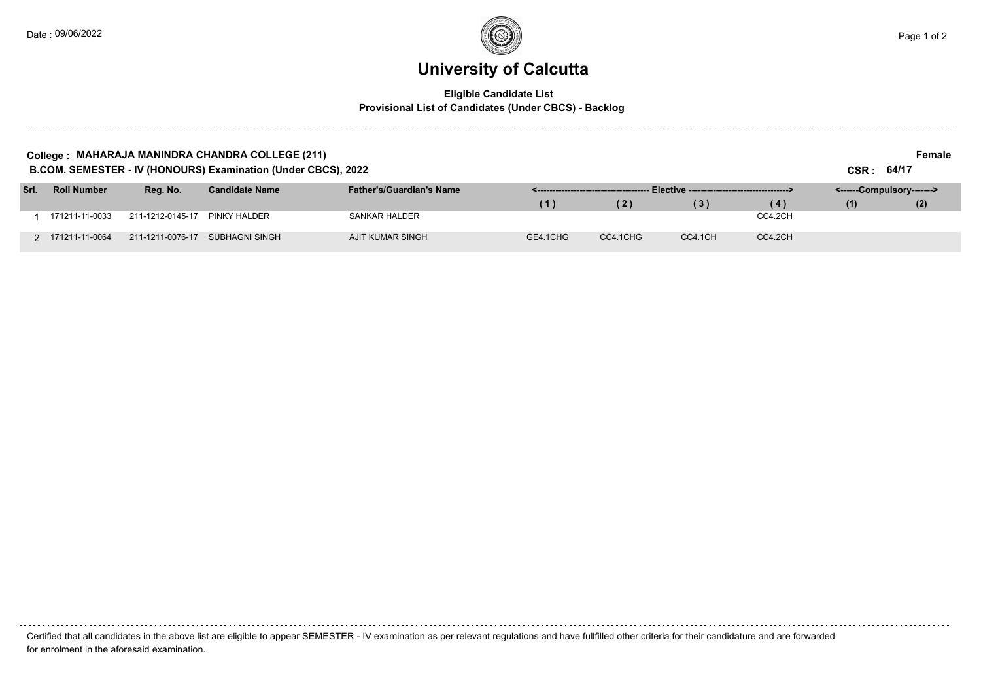. . . . . . . . . .

### **University of Calcutta**

#### **Eligible Candidate List Provisional List of Candidates (Under CBCS) - Backlog**

|      |                    |                  | College : MAHARAJA MANINDRA CHANDRA COLLEGE (211)<br>B.COM. SEMESTER - IV (HONOURS) Examination (Under CBCS), 2022 |                                 |          |          |                                               |         | CSR: 64/17                | Female |
|------|--------------------|------------------|--------------------------------------------------------------------------------------------------------------------|---------------------------------|----------|----------|-----------------------------------------------|---------|---------------------------|--------|
| Srl. | <b>Roll Number</b> | Reg. No.         | <b>Candidate Name</b>                                                                                              | <b>Father's/Guardian's Name</b> |          |          | Elective -----------------------------------> |         | <------Compulsory-------> |        |
|      |                    |                  |                                                                                                                    |                                 | (1)      | (2)      | (3)                                           | (4)     | (1)                       | (2)    |
|      | 171211-11-0033     | 211-1212-0145-17 | PINKY HALDER                                                                                                       | <b>SANKAR HALDER</b>            |          |          |                                               | CC4.2CH |                           |        |
|      | 2 171211-11-0064   | 211-1211-0076-17 | SUBHAGNI SINGH                                                                                                     | AJIT KUMAR SINGH                | GE4.1CHG | CC4.1CHG | CC4.1CH                                       | CC4.2CH |                           |        |

Certified that all candidates in the above list are eligible to appear SEMESTER - IV examination as per relevant regulations and have fullfilled other criteria for their candidature and are forwarded for enrolment in the aforesaid examination.

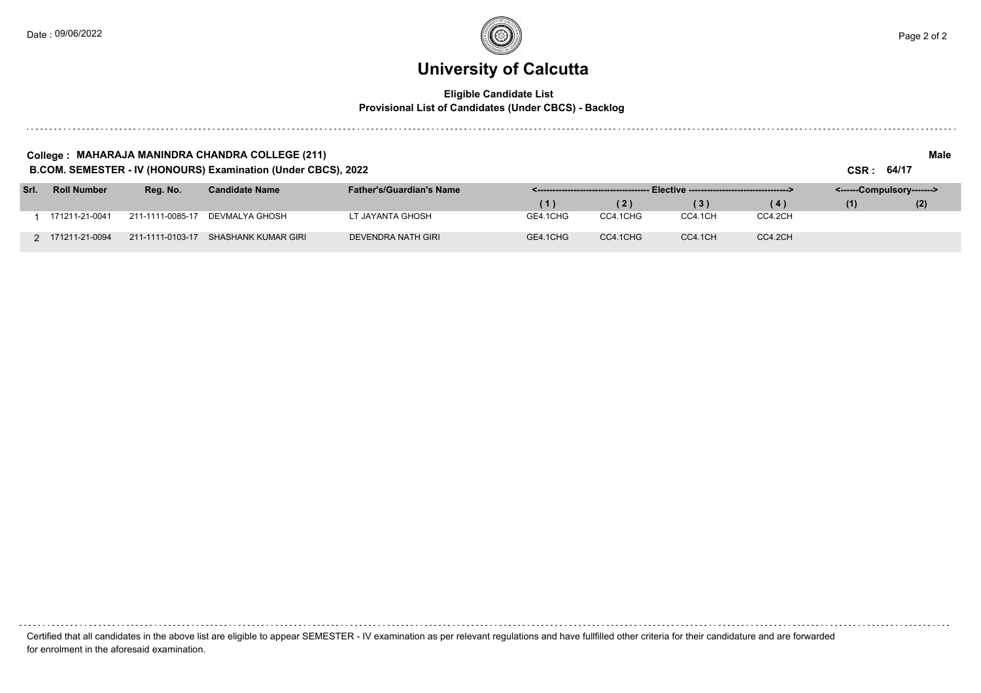### **University of Calcutta**

#### **Eligible Candidate List Provisional List of Candidates (Under CBCS) - Backlog**

#### **College : MAHARAJA MANINDRA CHANDRA COLLEGE (211) Male**

**B.COM. SEMESTER - IV (HONOURS) Examination (Under CBCS), 2022 CSR : 64/17**

| Srl. | <b>Roll Number</b> | Reg. No.         | <b>Candidate Name</b> | <b>Father's/Guardian's Name</b> |          |          |                   |         | <------Compulsory-------> |     |  |
|------|--------------------|------------------|-----------------------|---------------------------------|----------|----------|-------------------|---------|---------------------------|-----|--|
|      |                    |                  |                       |                                 |          |          | $\lceil 3 \rceil$ |         |                           | (2) |  |
|      | 171211-21-0041     | 211-1111-0085-17 | DEVMALYA GHOSH        | .T JAYANTA GHOSH                | GE4.1CHG | CC4.1CHG | CC4.1CH           | CC4.2CH |                           |     |  |
|      | 171211-21-0094     | 211-1111-0103-17 | SHASHANK KUMAR GIRI   | DEVENDRA NATH GIRI              | GE4.1CHG | CC4.1CHG | CC4.1CH           | CC4.2CH |                           |     |  |

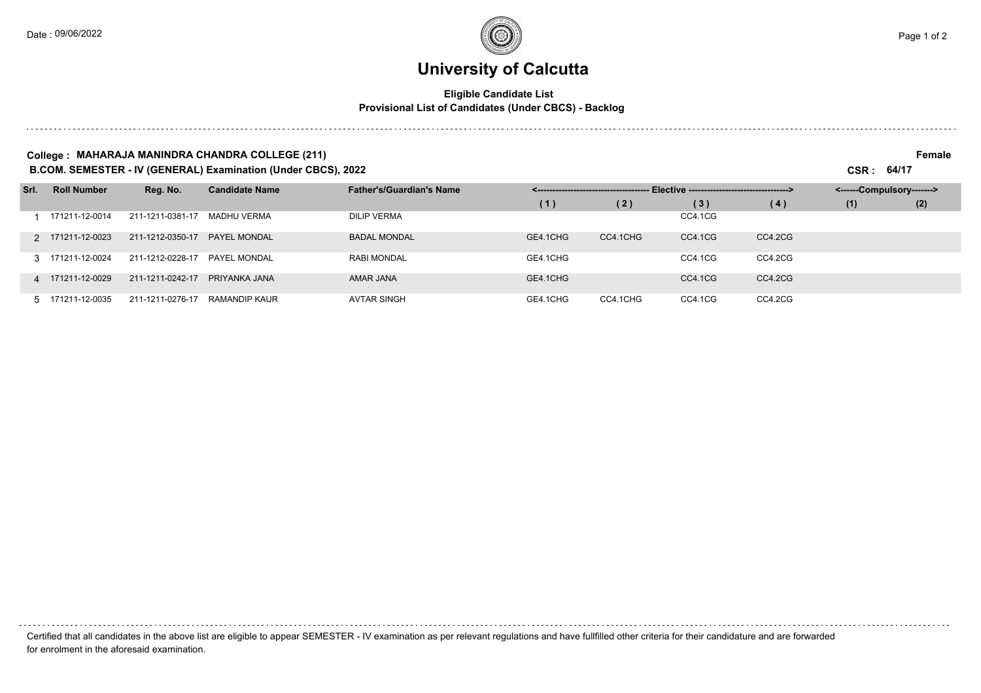### **University of Calcutta**

#### **Eligible Candidate List Provisional List of Candidates (Under CBCS) - Backlog**

#### **College : MAHARAJA MANINDRA CHANDRA COLLEGE (211) Female**

**B.COM. SEMESTER - IV (GENERAL) Examination (Under CBCS), 2022 CSR : 64/17**

| Srl. | <b>Roll Number</b> | Reg. No.         | <b>Candidate Name</b> | <b>Father's/Guardian's Name</b> |          |          |         |         | <------Compulsory-------> |     |
|------|--------------------|------------------|-----------------------|---------------------------------|----------|----------|---------|---------|---------------------------|-----|
|      |                    |                  |                       |                                 | (1)      | (2)      | (3)     | (4)     | (1)                       | (2) |
|      | 171211-12-0014     | 211-1211-0381-17 | MADHU VERMA           | <b>DILIP VERMA</b>              |          |          | CC4.1CG |         |                           |     |
|      | 2 171211-12-0023   | 211-1212-0350-17 | PAYEL MONDAL          | <b>BADAL MONDAL</b>             | GE4.1CHG | CC4.1CHG | CC4.1CG | CC4.2CG |                           |     |
|      | 3 171211-12-0024   | 211-1212-0228-17 | PAYEL MONDAL          | <b>RABI MONDAL</b>              | GE4.1CHG |          | CC4.1CG | CC4.2CG |                           |     |
|      | 4 171211-12-0029   | 211-1211-0242-17 | PRIYANKA JANA         | AMAR JANA                       | GE4.1CHG |          | CC4.1CG | CC4.2CG |                           |     |
|      | 5 171211-12-0035   | 211-1211-0276-17 | RAMANDIP KAUR         | <b>AVTAR SINGH</b>              | GE4.1CHG | CC4.1CHG | CC4.1CG | CC4.2CG |                           |     |